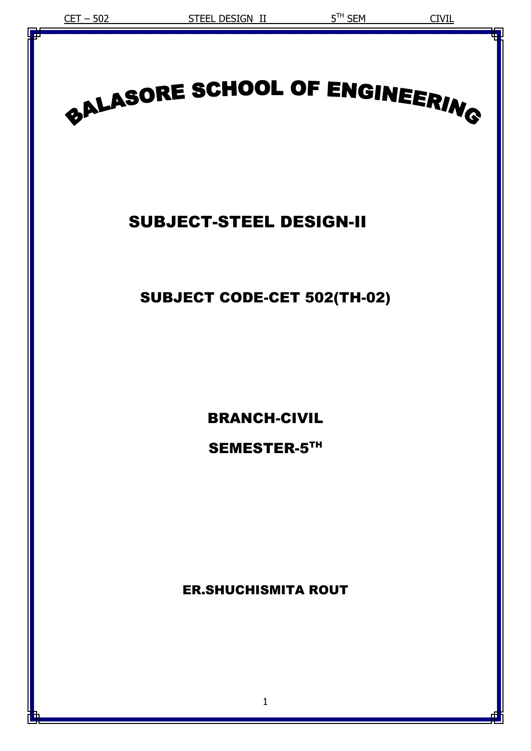# BALASORE SCHOOL OF ENGINEERING

# SUBJECT-STEEL DESIGN-II

# SUBJECT CODE-CET 502(TH-02)

BRANCH-CIVIL

SEMESTER-5TH

ER.SHUCHISMITA ROUT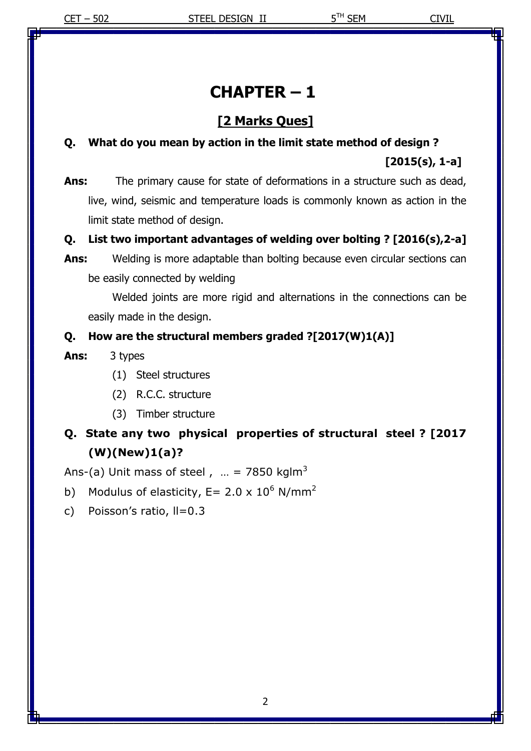# **CHAPTER – 1**

# **[2 Marks Ques]**

# **Q. What do you mean by action in the limit state method of design ? [2015(s), 1-a]**

**Ans:** The primary cause for state of deformations in a structure such as dead, live, wind, seismic and temperature loads is commonly known as action in the limit state method of design.

#### **Q. List two important advantages of welding over bolting ? [2016(s),2-a]**

**Ans:** Welding is more adaptable than bolting because even circular sections can be easily connected by welding

Welded joints are more rigid and alternations in the connections can be easily made in the design.

#### **Q. How are the structural members graded ?[2017(W)1(A)]**

- **Ans:** 3 types
	- (1) Steel structures
	- (2) R.C.C. structure
	- (3) Timber structure

# **Q. State any two physical properties of structural steel ? [2017 (W)(New)1(a)?**

Ans-(a) Unit mass of steel ,  $m = 7850$  kglm<sup>3</sup>

- b) Modulus of elasticity, E= 2.0 x  $10^6$  N/mm<sup>2</sup>
- c) Poisson's ratio, II=0.3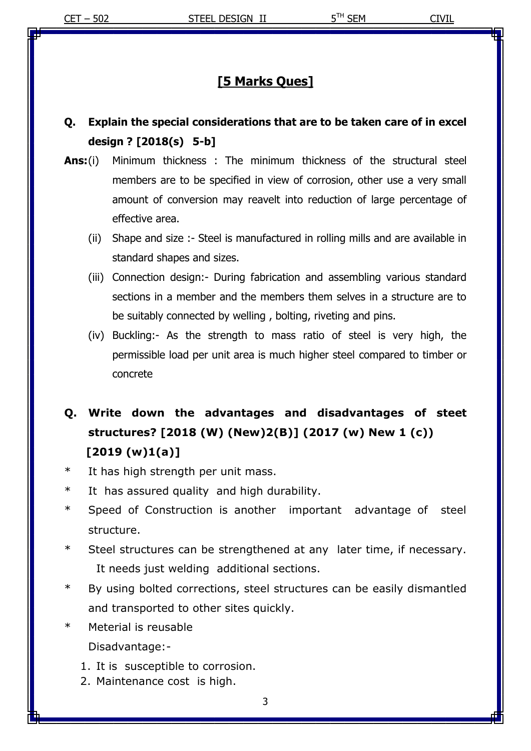## **[5 Marks Ques]**

# **Q. Explain the special considerations that are to be taken care of in excel design ? [2018(s) 5-b]**

- **Ans:**(i) Minimum thickness : The minimum thickness of the structural steel members are to be specified in view of corrosion, other use a very small amount of conversion may reavelt into reduction of large percentage of effective area.
	- (ii) Shape and size :- Steel is manufactured in rolling mills and are available in standard shapes and sizes.
	- (iii) Connection design:- During fabrication and assembling various standard sections in a member and the members them selves in a structure are to be suitably connected by welling , bolting, riveting and pins.
	- (iv) Buckling:- As the strength to mass ratio of steel is very high, the permissible load per unit area is much higher steel compared to timber or concrete

# **Q. Write down the advantages and disadvantages of steet structures? [2018 (W) (New)2(B)] (2017 (w) New 1 (c)) [2019 (w)1(a)]**

- \* It has high strength per unit mass.
- \* It has assured quality and high durability.
- \* Speed of Construction is another important advantage of steel structure.
- \* Steel structures can be strengthened at any later time, if necessary. It needs just welding additional sections.
- \* By using bolted corrections, steel structures can be easily dismantled and transported to other sites quickly.
- \* Meterial is reusable Disadvantage:-
	- 1. It is susceptible to corrosion.
	- 2. Maintenance cost is high.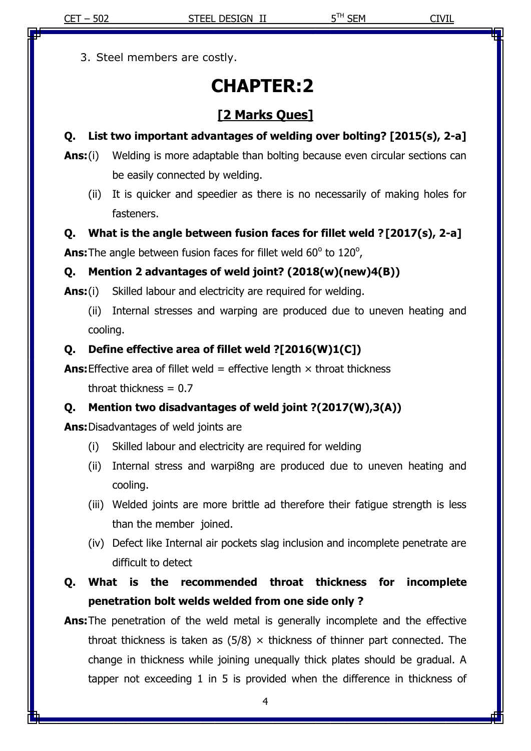3. Steel members are costly.

# **CHAPTER:2**

# **[2 Marks Ques]**

## **Q. List two important advantages of welding over bolting? [2015(s), 2-a]**

- **Ans:**(i) Welding is more adaptable than bolting because even circular sections can be easily connected by welding.
	- (ii) It is quicker and speedier as there is no necessarily of making holes for fasteners.

#### **Q. What is the angle between fusion faces for fillet weld ?[2017(s), 2-a]**

**Ans:** The angle between fusion faces for fillet weld 60° to 120°,

## **Q. Mention 2 advantages of weld joint? (2018(w)(new)4(B))**

**Ans:**(i) Skilled labour and electricity are required for welding.

(ii) Internal stresses and warping are produced due to uneven heating and cooling.

## **Q. Define effective area of fillet weld ?[2016(W)1(C])**

**Ans:** Effective area of fillet weld = effective length  $\times$  throat thickness

throat thickness  $= 0.7$ 

# **Q. Mention two disadvantages of weld joint ?(2017(W),3(A))**

**Ans:**Disadvantages of weld joints are

- (i) Skilled labour and electricity are required for welding
- (ii) Internal stress and warpi8ng are produced due to uneven heating and cooling.
- (iii) Welded joints are more brittle ad therefore their fatigue strength is less than the member joined.
- (iv) Defect like Internal air pockets slag inclusion and incomplete penetrate are difficult to detect
- **Q. What is the recommended throat thickness for incomplete penetration bolt welds welded from one side only ?**
- **Ans:**The penetration of the weld metal is generally incomplete and the effective throat thickness is taken as  $(5/8)$   $\times$  thickness of thinner part connected. The change in thickness while joining unequally thick plates should be gradual. A tapper not exceeding 1 in 5 is provided when the difference in thickness of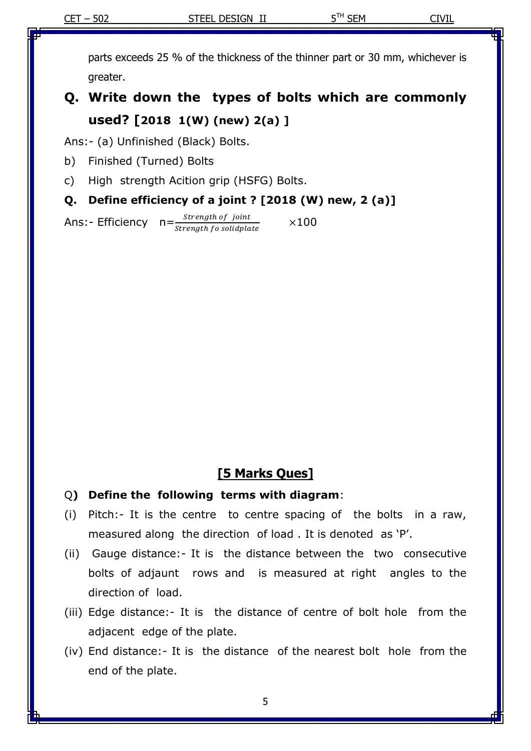parts exceeds 25 % of the thickness of the thinner part or 30 mm, whichever is greater.

# **Q. Write down the types of bolts which are commonly used? [2018 1(W) (new) 2(a) ]**

Ans:- (a) Unfinished (Black) Bolts.

- b) Finished (Turned) Bolts
- c) High strength Acition grip (HSFG) Bolts.

#### **Q. Define efficiency of a joint ? [2018 (W) new, 2 (a)]**

Ans:- Efficiency  $n = \frac{strength\ of\ joint}{}$ Strength fo solidplate  $\times$ 100

#### **[5 Marks Ques]**

- Q**) Define the following terms with diagram**:
- (i) Pitch:- It is the centre to centre spacing of the bolts in a raw, measured along the direction of load . It is denoted as 'P'.
- (ii) Gauge distance:- It is the distance between the two consecutive bolts of adjaunt rows and is measured at right angles to the direction of load.
- (iii) Edge distance:- It is the distance of centre of bolt hole from the adjacent edge of the plate.
- (iv) End distance:- It is the distance of the nearest bolt hole from the end of the plate.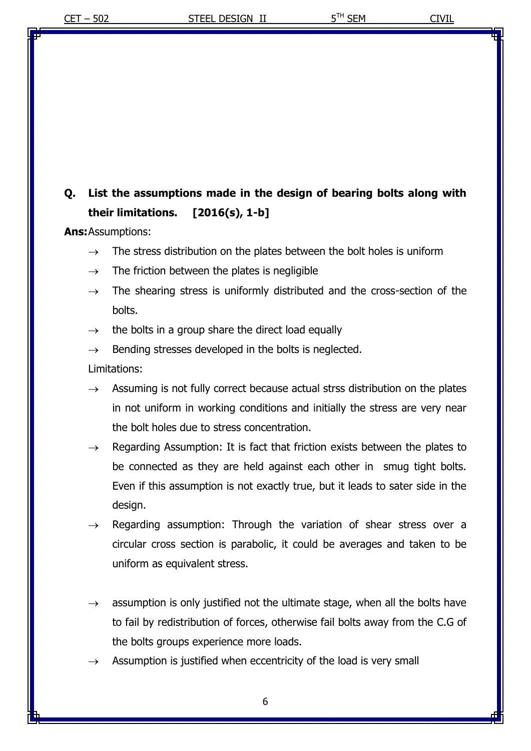# **Q. List the assumptions made in the design of bearing bolts along with their limitations. [2016(s), 1-b]**

**Ans:**Assumptions:

- $\rightarrow$  The stress distribution on the plates between the bolt holes is uniform
- $\rightarrow$  The friction between the plates is negligible
- $\rightarrow$  The shearing stress is uniformly distributed and the cross-section of the bolts.
- $\rightarrow$  the bolts in a group share the direct load equally
- $\rightarrow$  Bending stresses developed in the bolts is neglected.
- Limitations:
- $\rightarrow$  Assuming is not fully correct because actual strss distribution on the plates in not uniform in working conditions and initially the stress are very near the bolt holes due to stress concentration.
- $\rightarrow$  Regarding Assumption: It is fact that friction exists between the plates to be connected as they are held against each other in smug tight bolts. Even if this assumption is not exactly true, but it leads to sater side in the design.
- Regarding assumption: Through the variation of shear stress over a circular cross section is parabolic, it could be averages and taken to be uniform as equivalent stress.
- $\rightarrow$  assumption is only justified not the ultimate stage, when all the bolts have to fail by redistribution of forces, otherwise fail bolts away from the C.G of the bolts groups experience more loads.
- Assumption is justified when eccentricity of the load is very small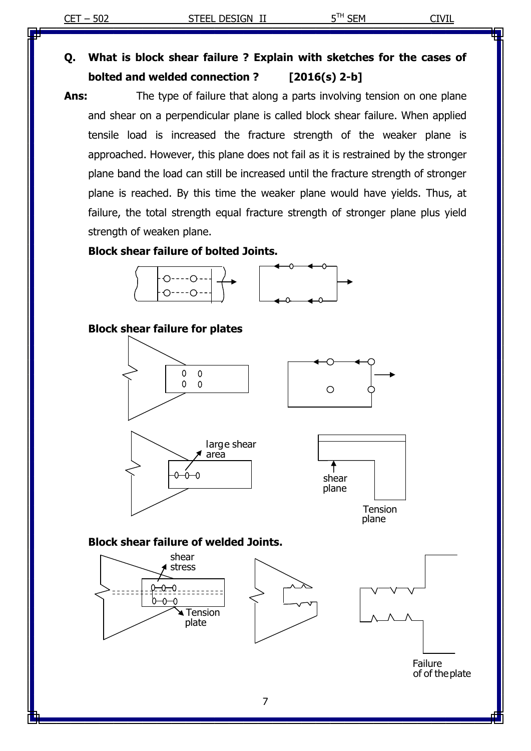# **Q. What is block shear failure ? Explain with sketches for the cases of bolted and welded connection ? [2016(s) 2-b]**

**Ans:** The type of failure that along a parts involving tension on one plane and shear on a perpendicular plane is called block shear failure. When applied tensile load is increased the fracture strength of the weaker plane is approached. However, this plane does not fail as it is restrained by the stronger plane band the load can still be increased until the fracture strength of stronger plane is reached. By this time the weaker plane would have yields. Thus, at failure, the total strength equal fracture strength of stronger plane plus yield strength of weaken plane.

#### **Block shear failure of bolted Joints.**



#### **Block shear failure for plates**



#### **Block shear failure of welded Joints.**

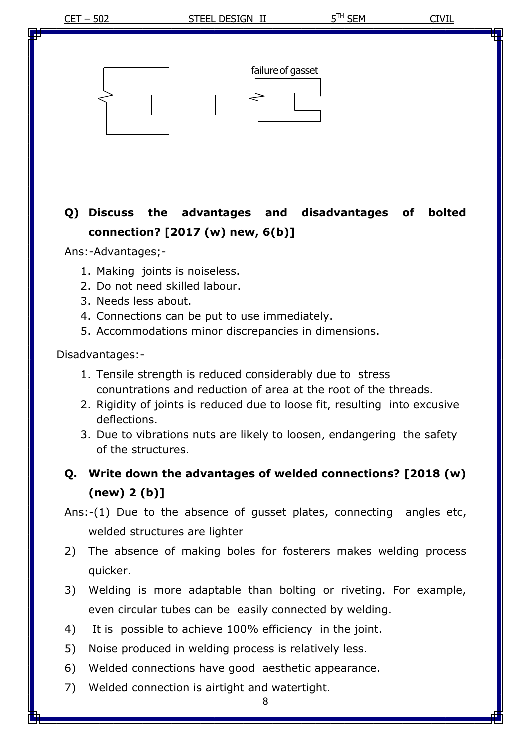CET – 502 STEEL DESIGN II 5<sup>TH</sup> SEM CIVIL **Q) Discuss the advantages and disadvantages of bolted connection? [2017 (w) new, 6(b)]** Ans:-Advantages;- 1. Making joints is noiseless. 2. Do not need skilled labour. 3. Needs less about. 4. Connections can be put to use immediately. 5. Accommodations minor discrepancies in dimensions. Disadvantages:- 1. Tensile strength is reduced considerably due to stress conuntrations and reduction of area at the root of the threads. 2. Rigidity of joints is reduced due to loose fit, resulting into excusive deflections. 3. Due to vibrations nuts are likely to loosen, endangering the safety of the structures. **Q. Write down the advantages of welded connections? [2018 (w) (new) 2 (b)]** Ans:-(1) Due to the absence of gusset plates, connecting angles etc, welded structures are lighter failureof gasset

- 2) The absence of making boles for fosterers makes welding process quicker.
- 3) Welding is more adaptable than bolting or riveting. For example, even circular tubes can be easily connected by welding.
- 4) It is possible to achieve 100% efficiency in the joint.
- 5) Noise produced in welding process is relatively less.
- 6) Welded connections have good aesthetic appearance.
- 7) Welded connection is airtight and watertight.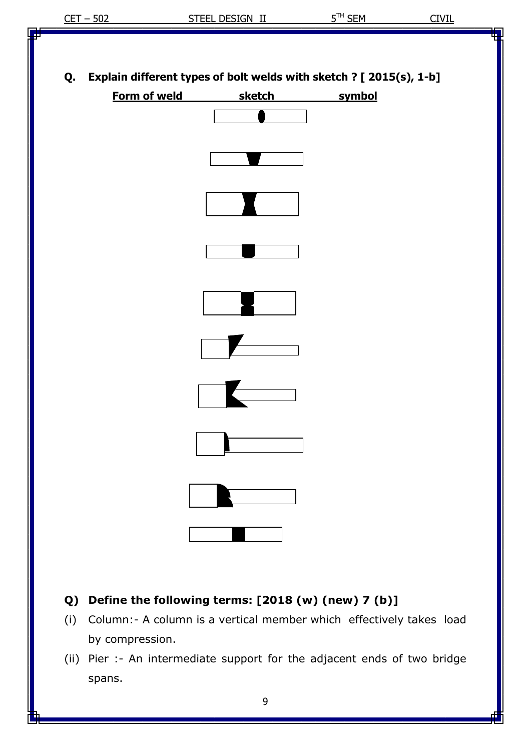**Q. Explain different types of bolt welds with sketch ? [ 2015(s), 1-b]**



- **Q) Define the following terms: [2018 (w) (new) 7 (b)]**
- (i) Column:- A column is a vertical member which effectively takes load by compression.
- (ii) Pier :- An intermediate support for the adjacent ends of two bridge spans.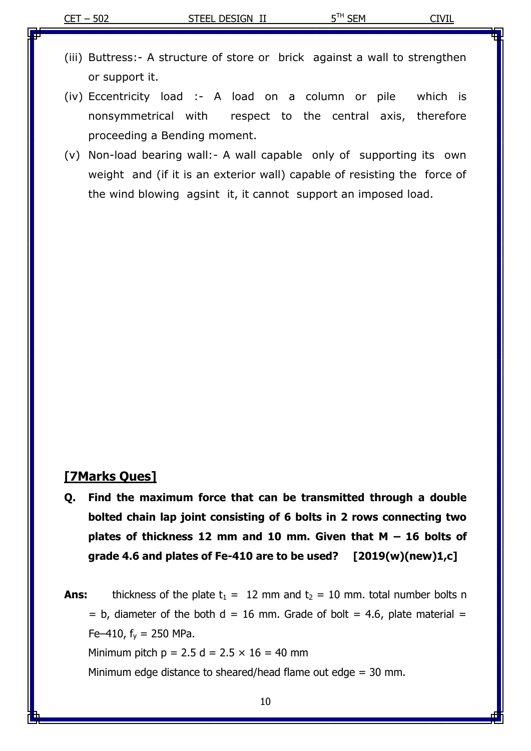- (iii) Buttress:- A structure of store or brick against a wall to strengthen or support it.
- (iv) Eccentricity load :- A load on a column or pile which is nonsymmetrical with respect to the central axis, therefore proceeding a Bending moment.
- (v) Non-load bearing wall:- A wall capable only of supporting its own weight and (if it is an exterior wall) capable of resisting the force of the wind blowing agsint it, it cannot support an imposed load.

#### **[7Marks Ques]**

- **Q. Find the maximum force that can be transmitted through a double bolted chain lap joint consisting of 6 bolts in 2 rows connecting two plates of thickness 12 mm and 10 mm. Given that M – 16 bolts of grade 4.6 and plates of Fe-410 are to be used? [2019(w)(new)1,c]**
- **Ans:** thickness of the plate  $t_1 = 12$  mm and  $t_2 = 10$  mm. total number bolts n  $=$  b, diameter of the both d = 16 mm. Grade of bolt = 4.6, plate material = Fe–410,  $f_v = 250$  MPa. Minimum pitch  $p = 2.5$  d =  $2.5 \times 16 = 40$  mm

Minimum edge distance to sheared/head flame out edge = 30 mm.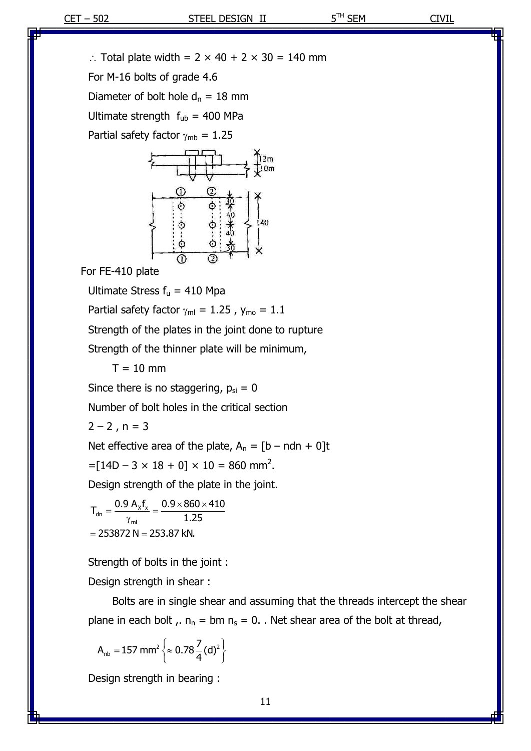$\therefore$  Total plate width = 2  $\times$  40 + 2  $\times$  30 = 140 mm

For M-16 bolts of grade 4.6

Diameter of bolt hole  $d_n = 18$  mm

Ultimate strength  $f_{ub} = 400$  MPa

Partial safety factor  $\gamma_{\rm mb} = 1.25$ 



For FE-410 plate

Ultimate Stress  $f_u = 410$  Mpa

Partial safety factor  $\gamma_{\text{ml}} = 1.25$ ,  $y_{\text{mo}} = 1.1$ 

Strength of the plates in the joint done to rupture

Strength of the thinner plate will be minimum,

 $T = 10$  mm

Since there is no staggering,  $p_{si} = 0$ 

Number of bolt holes in the critical section

 $2 - 2$ , n = 3

Net effective area of the plate,  $A_n = [b - ndn + 0]t$  $=[14D - 3 \times 18 + 0] \times 10 = 860$  mm<sup>2</sup>.

Design strength of the plate in the joint.

 $A_{\rm dn} = \frac{0.9 \text{ A}_{\rm x} f_{\rm x}}{100}$ ml  $T_{\text{dn}} = \frac{0.9 \text{ A}_x f_x}{0.9 \times 860 \times 410}$ 1.25  $^{7}$  mi<br>= 253872 N = 253.87 kN.  $=\frac{0.9 A_x f_x}{\gamma_{\text{ml}}} = \frac{0.9 \times 860 \times 410}{1.25}$ 

Strength of bolts in the joint :

Design strength in shear :

Bolts are in single shear and assuming that the threads intercept the shear plane in each bolt  $\mu$ ,  $n_n = bm \, n_s = 0$ . Wet shear area of the bolt at thread,

$$
A_{\text{nb}} = 157 \text{ mm}^2 \left\{ \approx 0.78 \frac{7}{4} (d)^2 \right\}
$$

Design strength in bearing :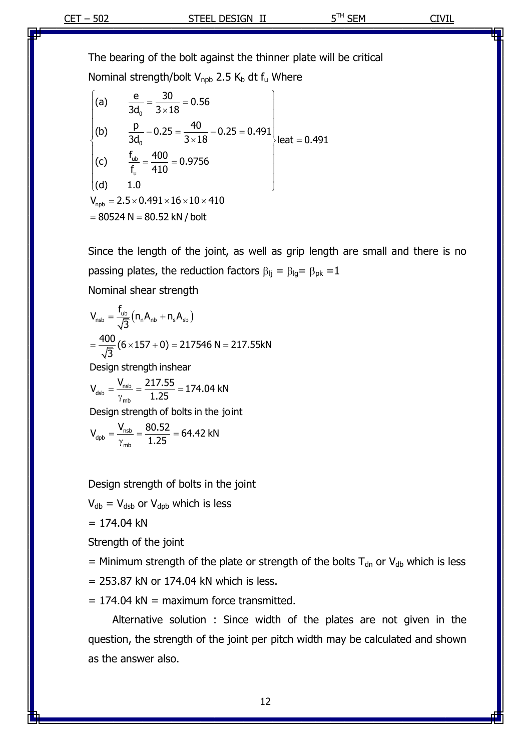The bearing of the bolt against the thinner plate will be critical

Nominal strength/bolt V<sub>npb</sub> 2.5 K<sub>b</sub> dt f<sub>u</sub> Where

\n
$$
\begin{pmatrix}\n(a) & \frac{e}{3d_0} = \frac{30}{3 \times 18} = 0.56 \\
(b) & \frac{p}{3d_0} - 0.25 = \frac{40}{3 \times 18} - 0.25 = 0.491\n\end{pmatrix}
$$
\n(c) 
$$
\frac{f_{ub}}{f_u} = \frac{400}{410} = 0.9756
$$

\n(d) 1.0

\n
$$
V_{npb} = 2.5 \times 0.491 \times 16 \times 10 \times 410
$$
\n
$$
= 80524 N = 80.52 kN/bolt
$$

Since the length of the joint, as well as grip length are small and there is no passing plates, the reduction factors  $\beta_{lj} = \beta_{lg} = \beta_{pk} = 1$ 

Nominal shear strength

$$
V_{\text{nsb}} = \frac{f_{\text{ub}}}{\sqrt{3}} (n_{\text{n}} A_{\text{nb}} + n_{\text{s}} A_{\text{sb}})
$$
  
=  $\frac{400}{\sqrt{3}} (6 \times 157 + 0) = 217546 \text{ N} = 217.55 \text{kN}$   
Design strength inshear  

$$
V_{\text{dsb}} = \frac{V_{\text{nsb}}}{\gamma_{\text{mb}}} = \frac{217.55}{1.25} = 174.04 \text{ kN}
$$
  
Design strength of bolts in the joint

$$
V_{\text{dpb}} = \frac{V_{\text{nsb}}}{\gamma_{\text{mb}}} = \frac{80.52}{1.25} = 64.42 \text{ kN}
$$

Design strength of bolts in the joint

 $V_{db} = V_{dsb}$  or  $V_{dbb}$  which is less

$$
= 174.04 \text{ kN}
$$

Strength of the joint

= Minimum strength of the plate or strength of the bolts  $T_{dn}$  or  $V_{db}$  which is less

 $= 253.87$  kN or 174.04 kN which is less.

 $= 174.04$  kN = maximum force transmitted.

Alternative solution : Since width of the plates are not given in the question, the strength of the joint per pitch width may be calculated and shown as the answer also.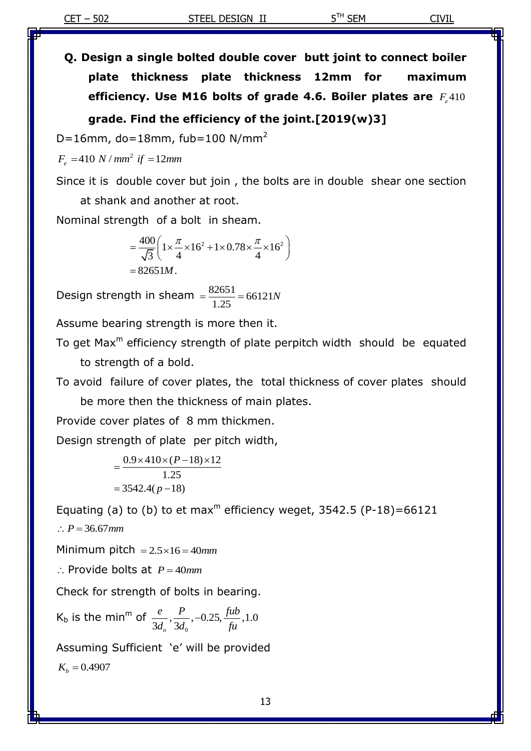**Q. Design a single bolted double cover butt joint to connect boiler plate thickness plate thickness 12mm for maximum efficiency. Use M16 bolts of grade 4.6. Boiler plates are**  410 *F e* **grade. Find the efficiency of the joint.[2019(w)3]**

 $D=16$ mm, do=18mm, fub=100 N/mm<sup>2</sup>

2  $F_e = 410 N / mm^2$  *if* = 12mm

Since it is double cover but join , the bolts are in double shear one section at shank and another at root.

Nominal strength of a bolt in sheam.

$$
= \frac{400}{\sqrt{3}} \left( 1 \times \frac{\pi}{4} \times 16^2 + 1 \times 0.78 \times \frac{\pi}{4} \times 16^2 \right)
$$
  
= 82651M.

Design strength in sheam  $=\frac{82651}{1.35}$  = 66121 1.25  $=\frac{82651}{125}$  = 66121N

Assume bearing strength is more then it.

To get Max<sup>m</sup> efficiency strength of plate perpitch width should be equated to strength of a bold.

To avoid failure of cover plates, the total thickness of cover plates should

be more then the thickness of main plates.

Provide cover plates of 8 mm thickmen.

Design strength of plate per pitch width,

$$
=\frac{0.9 \times 410 \times (P-18) \times 12}{1.25}
$$
  
= 3542.4(p-18)

Equating (a) to (b) to et max<sup>m</sup> efficiency weget, 3542.5 (P-18)=66121  $\therefore P = 36.67$ *mm* 

Minimum pitch  $= 2.5 \times 16 = 40$ mm

 $\therefore$  Provide bolts at  $P = 40mm$ 

Check for strength of bolts in bearing.

 $K_b$  is the min<sup>m</sup> of  $\mathbf{0}$  $,\frac{P}{21}, -0.25, \frac{fib}{c}, 1.0$  $\frac{1}{3d_o}$ ,  $\frac{1}{3}$  $e$  *P*  $0.25$  *fub*  $\frac{e}{d_o}, \frac{I}{3d_0}, -0.25, \frac{f}{f}$ 

Assuming Sufficient 'e' will be provided  $K_b = 0.4907$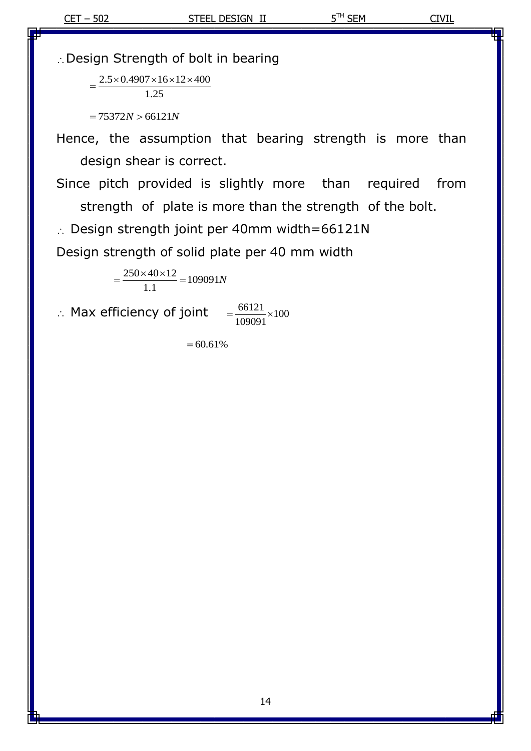Design Strength of bolt in bearing

 $2.5 \times 0.4907 \times 16 \times 12 \times 400$ 1.25  $=$ 

 $= 75372N > 66121N$ 

∴Design Strength of bolt in bearin<br>  $=\frac{2.5 \times 0.4907 \times 16 \times 12 \times 400}{1.25}$ <br>  $= 75372N > 66121N$ <br>
Hence, the assumption that be<br>
design shear is correct.<br>
Since pitch provided is slightly<br>
strength of plate is more tha<br>
∴ Hence, the assumption that bearing strength is more than design shear is correct.

Since pitch provided is slightly more than required from strength of plate is more than the strength of the bolt.

 $\therefore$  Design strength joint per 40mm width=66121N

Design strength of solid plate per 40 mm width

 $\frac{250 \times 40 \times 12}{11} = 109091$ 1.1  $=\frac{250\times40\times12}{11}$  = 109091N

 $\therefore$  Max efficiency of joint  $=\frac{66121}{1000000} \times 100$ 109091  $=\frac{0.0121}{100000} \times 1$ 

 $=60.61%$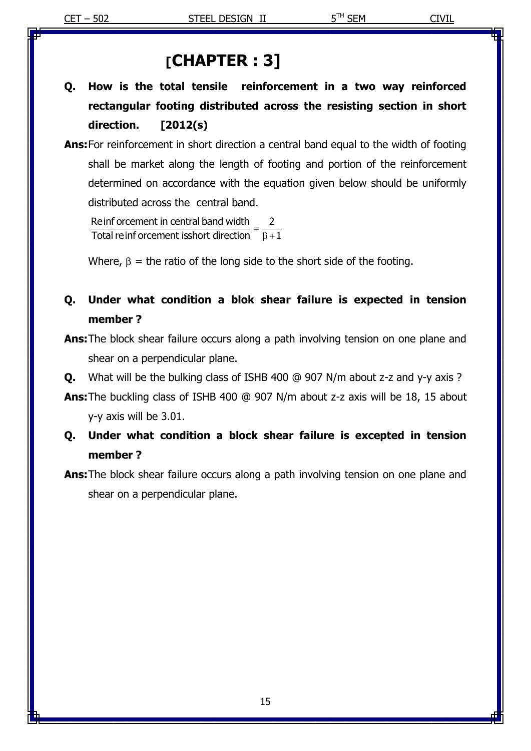# **[CHAPTER : 3]**

- **Q. How is the total tensile reinforcement in a two way reinforced rectangular footing distributed across the resisting section in short direction. [2012(s)**
- **Ans:**For reinforcement in short direction a central band equal to the width of footing shall be market along the length of footing and portion of the reinforcement determined on accordance with the equation given below should be uniformly distributed across the central band.

Reinf orcement in central band width Reinf orcement in central band width  $=$   $\frac{2}{\beta + 1}$  $=$  $\frac{2}{\beta+1}$ 

Where,  $\beta$  = the ratio of the long side to the short side of the footing.

# **Q. Under what condition a blok shear failure is expected in tension member ?**

**Ans:**The block shear failure occurs along a path involving tension on one plane and shear on a perpendicular plane.

**Q.** What will be the bulking class of ISHB 400 @ 907 N/m about z-z and y-y axis ?

**Ans:**The buckling class of ISHB 400 @ 907 N/m about z-z axis will be 18, 15 about y-y axis will be 3.01.

# **Q. Under what condition a block shear failure is excepted in tension member ?**

**Ans:**The block shear failure occurs along a path involving tension on one plane and shear on a perpendicular plane.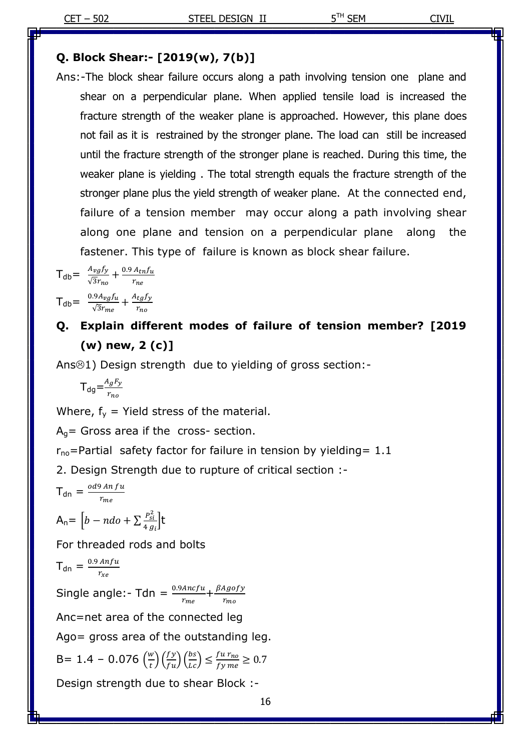#### **Q. Block Shear:- [2019(w), 7(b)]**

Ans:-The block shear failure occurs along a path involving tension one plane and shear on a perpendicular plane. When applied tensile load is increased the fracture strength of the weaker plane is approached. However, this plane does not fail as it is restrained by the stronger plane. The load can still be increased until the fracture strength of the stronger plane is reached. During this time, the weaker plane is yielding . The total strength equals the fracture strength of the stronger plane plus the yield strength of weaker plane. At the connected end, failure of a tension member may occur along a path involving shear along one plane and tension on a perpendicular plane along the fastener. This type of failure is known as block shear failure.

$$
T_{db} = \frac{A_{vg}f_y}{\sqrt{3}r_{no}} + \frac{0.9 A_{tn}f_u}{r_{ne}}
$$

$$
T_{db} = \frac{0.9 A_{vg}f_u}{\sqrt{3}r_{me}} + \frac{A_{tg}f_y}{r_{no}}
$$

# **Q. Explain different modes of failure of tension member? [2019 (w) new, 2 (c)]**

Ans $\odot$ 1) Design strength due to yielding of gross section:-

$$
\mathsf{T}_{\text{dg}} = \frac{A_g F_y}{r_{no}}
$$

Where,  $f_y$  = Yield stress of the material.

 $A_q$ = Gross area if the cross- section.

 $r_{\text{no}}$ =Partial safety factor for failure in tension by yielding= 1.1

2. Design Strength due to rupture of critical section :-

$$
T_{dn} = \frac{od9 \, An \, fu}{r_{me}}
$$

$$
A_n = \Big[b - ndo + \sum \frac{P_{si}^2}{4 g_i}\Big]t
$$

For threaded rods and bolts

$$
T_{dn} = \frac{0.9 \text{ Anfu}}{r_{xe}}
$$

Single angle:- Tdn =  $\frac{0.9 \text{Ancf} u}{r_{me}} + \frac{\beta}{2}$ r

Anc=net area of the connected leg

Ago= gross area of the outstanding leg.

B= 1.4 - 0.076 
$$
\left(\frac{w}{t}\right) \left(\frac{fy}{fu}\right) \left(\frac{bs}{tc}\right) \le \frac{fu r_{no}}{fy me} \ge 0.7
$$

Design strength due to shear Block :-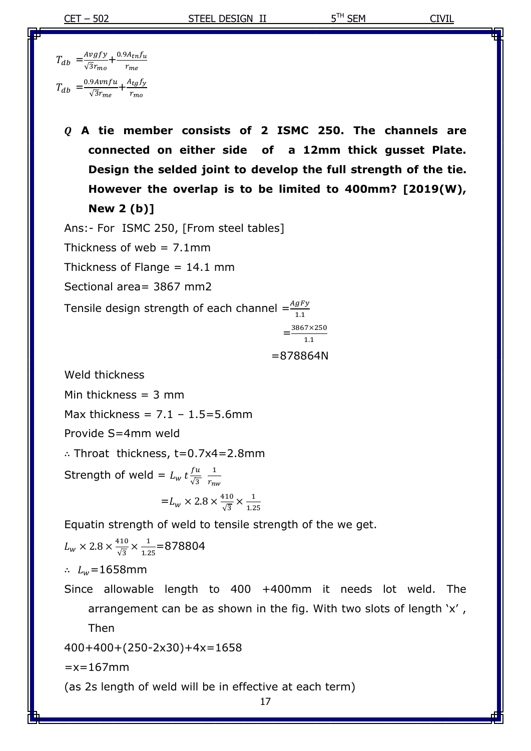$$
T_{db} = \frac{Avgfy}{\sqrt{3}r_{mo}} + \frac{0.9A_{tn}f_u}{r_{me}}
$$

$$
T_{db} = \frac{0.9Avnfu}{\sqrt{3}r_{me}} + \frac{A_{tg}f_y}{r_{mo}}
$$

 **A tie member consists of 2 ISMC 250. The channels are connected on either side of a 12mm thick gusset Plate. Design the selded joint to develop the full strength of the tie. However the overlap is to be limited to 400mm? [2019(W), New 2 (b)]**

Ans:- For ISMC 250, [From steel tables]

Thickness of web  $= 7.1$ mm

Thickness of Flange  $= 14.1$  mm

Sectional area= 3867 mm2

Tensile design strength of each channel  $=\frac{Ag}{1}$ 

$$
=\frac{3867 \times 250}{1.1}
$$

$$
= 878864N
$$

Weld thickness

Min thickness  $=$  3 mm

Max thickness =  $7.1 - 1.5 = 5.6$ mm

Provide S=4mm weld

Throat thickness, t=0.7x4=2.8mm

Strength of weld =  $L_w t \frac{f}{d}$  $\sqrt{3}$  $\mathbf{1}$ r

$$
=L_w \times 2.8 \times \frac{410}{\sqrt{3}} \times \frac{1}{1.25}
$$

Equatin strength of weld to tensile strength of the we get.

$$
L_{w} \times 2.8 \times \frac{410}{\sqrt{3}} \times \frac{1}{1.25} = 878804
$$

 $\therefore$   $L_w$ =1658mm

Since allowable length to 400 +400mm it needs lot weld. The arrangement can be as shown in the fig. With two slots of length 'x' , Then

400+400+(250-2x30)+4x=1658

 $=x=167$ mm

(as 2s length of weld will be in effective at each term)

17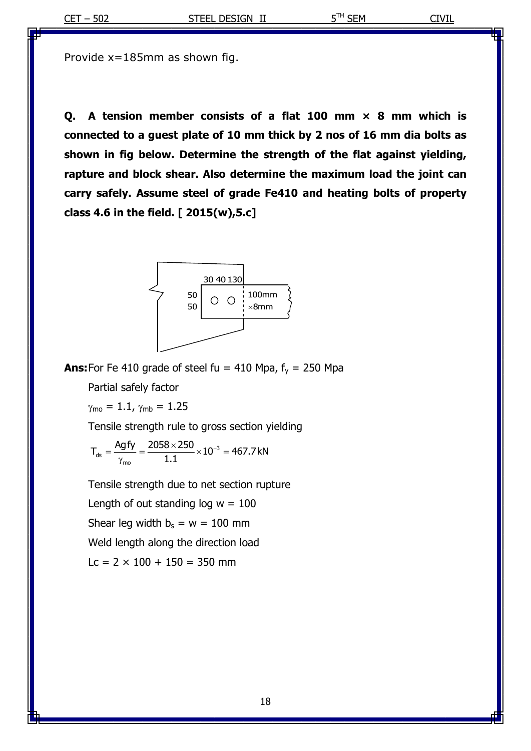Provide x=185mm as shown fig.

**Q. A tension member consists of a flat 100 mm × 8 mm which is connected to a guest plate of 10 mm thick by 2 nos of 16 mm dia bolts as shown in fig below. Determine the strength of the flat against yielding, rapture and block shear. Also determine the maximum load the joint can carry safely. Assume steel of grade Fe410 and heating bolts of property class 4.6 in the field. [ 2015(w),5.c]**



**Ans:**For Fe 410 grade of steel fu = 410 Mpa,  $f_y = 250$  Mpa

Partial safely factor

 $\gamma_{\text{mo}} = 1.1$ ,  $\gamma_{\text{mb}} = 1.25$ 

Tensile strength rule to gross section yielding  
\n
$$
T_{ds} = \frac{Agfy}{\gamma_{mo}} = \frac{2058 \times 250}{1.1} \times 10^{-3} = 467.7 \text{ kN}
$$

Tensile strength due to net section rupture Length of out standing  $log w = 100$ Shear leg width  $b_s = w = 100$  mm Weld length along the direction load  $Lc = 2 \times 100 + 150 = 350$  mm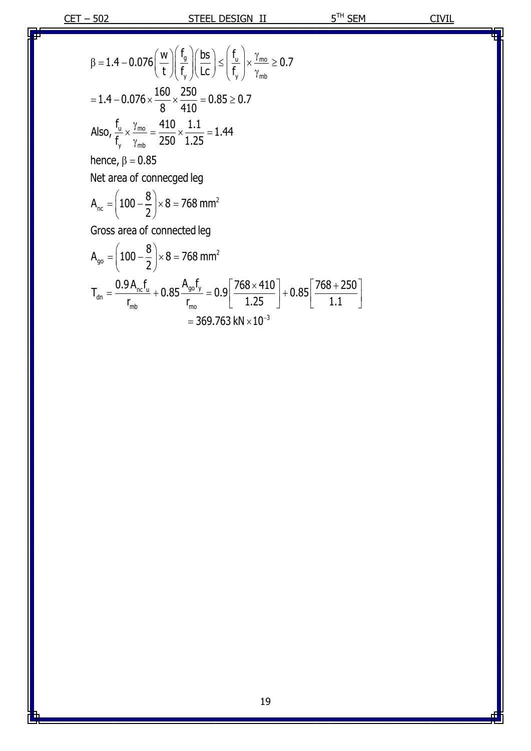$$
\beta = 1.4 - 0.076 \left(\frac{w}{t}\right) \left(\frac{f_g}{f_v}\right) \left(\frac{bs}{lc}\right) \le \left(\frac{f_u}{f_v}\right) \times \frac{\gamma_{mo}}{\gamma_{mb}} \ge 0.7
$$
\n
$$
= 1.4 - 0.076 \times \frac{160}{8} \times \frac{250}{410} = 0.85 \ge 0.7
$$
\nAlso,  $\frac{f_u}{f_v} \times \frac{\gamma_{mo}}{\gamma_{mb}} = \frac{410}{250} \times \frac{1.1}{1.25} = 1.44$   
\nhence,  $\beta = 0.85$   
\nNet area of connected leg  
\n $A_{nc} = \left(100 - \frac{8}{2}\right) \times 8 = 768$  mm<sup>2</sup>  
\nGross area of connected leg  
\n $A_{go} = \left(100 - \frac{8}{2}\right) \times 8 = 768$  mm<sup>2</sup>  
\n $T_{dn} = \frac{0.9 A_{nc} f_u}{r_{mb}} + 0.85 \frac{A_{go} f_y}{r_{mo}} = 0.9 \left[\frac{768 \times 410}{1.25}\right] + 0.85 \left[\frac{768 + 250}{1.1}\right]$ 

$$
\frac{1}{200} = 0.9 \left[ \frac{1.25}{1.25} \right]^{+}
$$
  
= 369.763 kN × 10<sup>-3</sup>

19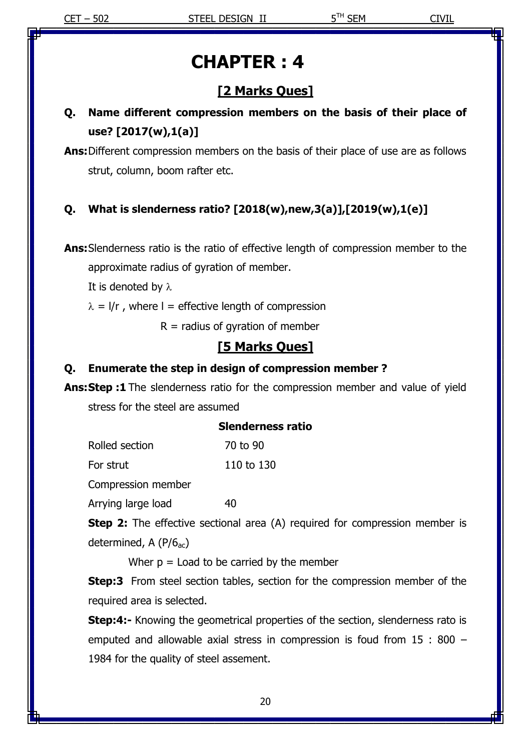# **CHAPTER : 4**

# **[2 Marks Ques]**

# **Q. Name different compression members on the basis of their place of use? [2017(w),1(a)]**

**Ans:**Different compression members on the basis of their place of use are as follows strut, column, boom rafter etc.

#### **Q. What is slenderness ratio? [2018(w),new,3(a)],[2019(w),1(e)]**

**Ans:**Slenderness ratio is the ratio of effective length of compression member to the

approximate radius of gyration of member.

It is denoted by  $\lambda$ 

 $\lambda = 1/r$ , where I = effective length of compression

 $R =$  radius of gyration of member

## **[5 Marks Ques]**

#### **Q. Enumerate the step in design of compression member ?**

**Ans:Step :1** The slenderness ratio for the compression member and value of yield stress for the steel are assumed

|                | <b>Slenderness ratio</b> |
|----------------|--------------------------|
| Rolled section | 70 to 90                 |

For strut 110 to 130

Compression member

Arrying large load 40

**Step 2:** The effective sectional area (A) required for compression member is determined, A  $(P/6<sub>ac</sub>)$ 

Wher  $p =$  Load to be carried by the member

**Step:3** From steel section tables, section for the compression member of the required area is selected.

**Step:4:-** Knowing the geometrical properties of the section, slenderness rato is emputed and allowable axial stress in compression is foud from 15 : 800 – 1984 for the quality of steel assement.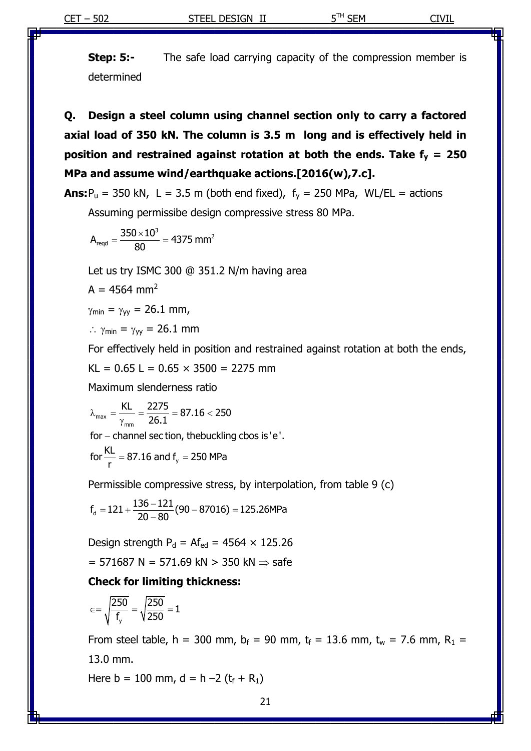**Step: 5:-** The safe load carrying capacity of the compression member is determined

**Q. Design a steel column using channel section only to carry a factored axial load of 350 kN. The column is 3.5 m long and is effectively held in position and restrained against rotation at both the ends. Take f<sup>y</sup> = 250 MPa and assume wind/earthquake actions.[2016(w),7.c].**

**Ans:** $P_u$  = 350 kN, L = 3.5 m (both end fixed),  $f_y$  = 250 MPa, WL/EL = actions

Assuming permissibe design compressive stress 80 MPa.

$$
A_{\text{reqd}} = \frac{350 \times 10^3}{80} = 4375 \text{ mm}^2
$$

Let us try ISMC 300 @ 351.2 N/m having area

 $A = 4564$  mm<sup>2</sup>

$$
\gamma_{\min}=\gamma_{yy}=26.1 \text{ mm},
$$

 $\therefore$   $\gamma_{min} = \gamma_{yy} = 26.1$  mm

For effectively held in position and restrained against rotation at both the ends,

KL =  $0.65$  L =  $0.65 \times 3500$  = 2275 mm

Maximum slenderness ratio  

$$
\lambda_{\text{max}} = \frac{KL}{\gamma_{\text{max}}} = \frac{2275}{26.1} = 87.16 < 250
$$

 $\frac{m_{\text{max}} - m_{\text{max}} - 26.1}{m_{\text{max}} - m_{\text{max}}}$  26.1  $\frac{m_{\text{max}} - m_{\text{max}} - 26.1}{m_{\text{max}} - m_{\text{max}}}$ 

for – channel sec tion, the bucklin  
for 
$$
\frac{KL}{r}
$$
 = 87.16 and f<sub>y</sub> = 250 MPa

Permissible compressive stress, by interpolation, from table 9 (c)  

$$
f_d = 121 + \frac{136 - 121}{20 - 80} (90 - 87016) = 125.26 MPa
$$

Design strength  $P_d = Af_{ed} = 4564 \times 125.26$ 

 $= 571687$  N = 571.69 kN > 350 kN  $\Rightarrow$  safe

#### **Check for limiting thickness:**

$$
\in=\sqrt{\frac{250}{f_{_{y}}}}=\sqrt{\frac{250}{250}}=1
$$

From steel table, h = 300 mm,  $b_f = 90$  mm,  $t_f = 13.6$  mm,  $t_w = 7.6$  mm,  $R_1 =$ 13.0 mm.

Here  $b = 100$  mm,  $d = h - 2 (t_f + R_1)$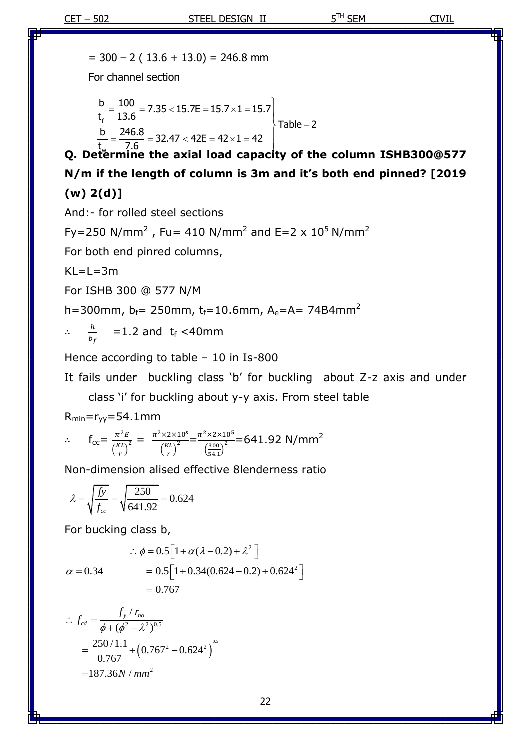$= 300 - 2 (13.6 + 13.0) = 246.8$  mm

For channel section

1 of the change second is

\n
$$
\frac{b}{t_f} = \frac{100}{13.6} = 7.35 < 15.7E = 15.7 \times 1 = 15.7
$$
\nTable - 2

\n2. Determine the axial load capacity of the column ISHB300@577

**N/m if the length of column is 3m and it's both end pinned? [2019 (w) 2(d)]**

And:- for rolled steel sections

$$
Fy = 250 \text{ N/mm}^2
$$
,  $Fu = 410 \text{ N/mm}^2$  and  $E = 2 \times 10^5 \text{ N/mm}^2$ 

For both end pinred columns,

 $KL=L=3m$ 

For ISHB 300 @ 577 N/M

h=300mm,  $b_f$ = 250mm,  $t_f$ =10.6mm,  $A_e$ =A= 74B4mm<sup>2</sup>

$$
\therefore \quad \frac{h}{b_f} \quad = 1.2 \text{ and } t_f < 40 \text{ mm}
$$

Hence according to table – 10 in Is-800

It fails under buckling class 'b' for buckling about Z-z axis and under

class 'i' for buckling about y-y axis. From steel table

 $R_{min} = r_{vv} = 54.1$ mm

$$
\therefore f_{cc} = \frac{\pi^2 E}{\left(\frac{KL}{r}\right)^2} = \frac{\pi^2 \times 2 \times 10^5}{\left(\frac{KL}{r}\right)^2} = \frac{\pi^2 \times 2 \times 10^5}{\left(\frac{300}{54.1}\right)^2} = 641.92 \text{ N/mm}^2
$$

Non-dimension alised effective 8lenderness ratio

$$
\lambda = \sqrt{\frac{f_y}{f_{cc}}} = \sqrt{\frac{250}{641.92}} = 0.624
$$

For bucking class b,

For **DuckING Class D**,  
\n
$$
\therefore \phi = 0.5 \Big[ 1 + \alpha (\lambda - 0.2) + \lambda^2 \Big]
$$
\n
$$
\alpha = 0.34 \qquad = 0.5 \Big[ 1 + 0.34(0.624 - 0.2) + 0.624^2 \Big]
$$
\n
$$
= 0.767
$$

$$
\therefore f_{cd} = \frac{f_y / r_{no}}{\phi + (\phi^2 - \lambda^2)^{0.5}}
$$
  
=  $\frac{250 / 1.1}{0.767} + (0.767^2 - 0.624^2)^{0.5}$   
= 187.36*N* / *mm*<sup>2</sup>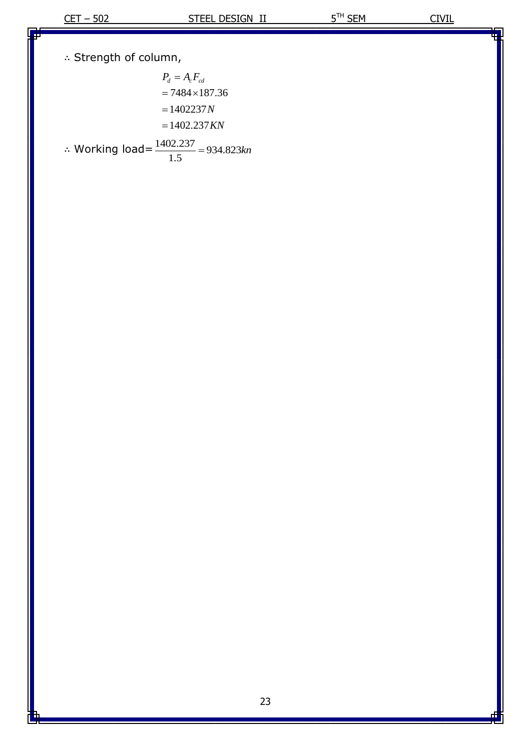$\therefore$  Strength of column,

$$
P_d = A_c F_{cd}
$$
  
= 7484×187.36  
= 1402237*N*  
= 1402.237*KN*  
∴ Working load =  $\frac{1402.237}{1.5}$  = 934.823*kn*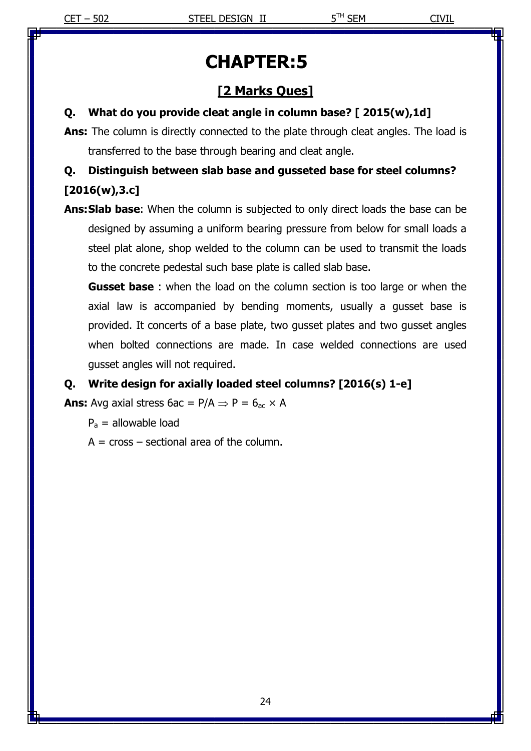# **CHAPTER:5**

# **[2 Marks Ques]**

#### **Q. What do you provide cleat angle in column base? [ 2015(w),1d]**

**Ans:** The column is directly connected to the plate through cleat angles. The load is transferred to the base through bearing and cleat angle.

# **Q. Distinguish between slab base and gusseted base for steel columns? [2016(w),3.c]**

**Ans:Slab base**: When the column is subjected to only direct loads the base can be designed by assuming a uniform bearing pressure from below for small loads a steel plat alone, shop welded to the column can be used to transmit the loads to the concrete pedestal such base plate is called slab base.

**Gusset base** : when the load on the column section is too large or when the axial law is accompanied by bending moments, usually a gusset base is provided. It concerts of a base plate, two gusset plates and two gusset angles when bolted connections are made. In case welded connections are used gusset angles will not required.

#### **Q. Write design for axially loaded steel columns? [2016(s) 1-e]**

**Ans:** Avg axial stress  $6ac = P/A \Rightarrow P = 6<sub>ac</sub> \times A$ 

 $P_a$  = allowable load

 $A = cross - sectional area of the column.$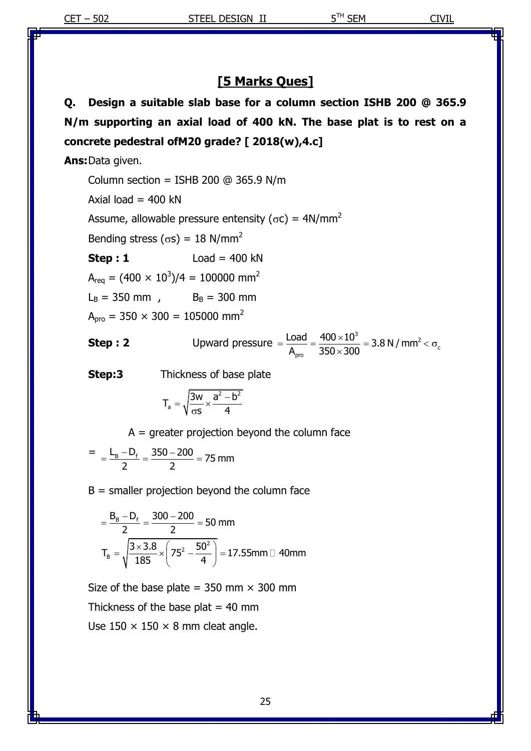## **[5 Marks Ques]**

**Q. Design a suitable slab base for a column section ISHB 200 @ 365.9 N/m supporting an axial load of 400 kN. The base plat is to rest on a concrete pedestral ofM20 grade? [ 2018(w),4.c]**

**Ans:**Data given.

Column section = ISHB 200  $@$  365.9 N/m

Axial load  $=$  400 kN

Assume, allowable pressure entensity ( $\sigma c$ ) = 4N/mm<sup>2</sup>

Bending stress ( $\sigma s$ ) = 18 N/mm<sup>2</sup>

**Step : 1** Load = 400 kN

 ${\sf A_{req}}$  = (400  $\times$   $10^3$ )/4 = 100000 mm<sup>2</sup>

 $L_B = 350$  mm,  $B_B = 300$  mm

 $A_{\text{pro}} = 350 \times 300 = 105000 \text{ mm}^2$ 

**Step : 2** Upward pressure  $=$   $\frac{\text{Load}}{\text{A}} = \frac{400 \times 10^3}{250 \times 200} = 3.8 \text{ N/mm}^2$ c  $\frac{\text{Load}}{\text{A}_{\text{pro}}} = \frac{400 \times 10^3}{350 \times 300} = 3.8 \text{ N / mm}$  $=\frac{\text{Load}}{\text{A}_{\text{pro}}} = \frac{400 \times 10^3}{350 \times 300} = 3.8 \text{ N/mm}^2 < \sigma_c$ 

**Step:3** Thickness of base plate

$$
T_a = \sqrt{\frac{3w}{\sigma s} \times \frac{a^2 - b^2}{4}}
$$

 $A =$  greater projection beyond the column face

$$
= \frac{L_B - D_f}{2} = \frac{350 - 200}{2} = 75 \text{ mm}
$$

 $B =$  smaller projection beyond the column face

$$
= \frac{B_B - D_f}{2} = \frac{300 - 200}{2} = 50 \text{ mm}
$$

$$
T_B = \sqrt{\frac{3 \times 3.8}{185} \times \left(75^2 - \frac{50^2}{4}\right)} = 17.55 \text{ mm} \square 40 \text{ mm}
$$

Size of the base plate =  $350$  mm  $\times$  300 mm Thickness of the base plat  $= 40$  mm Use  $150 \times 150 \times 8$  mm cleat angle.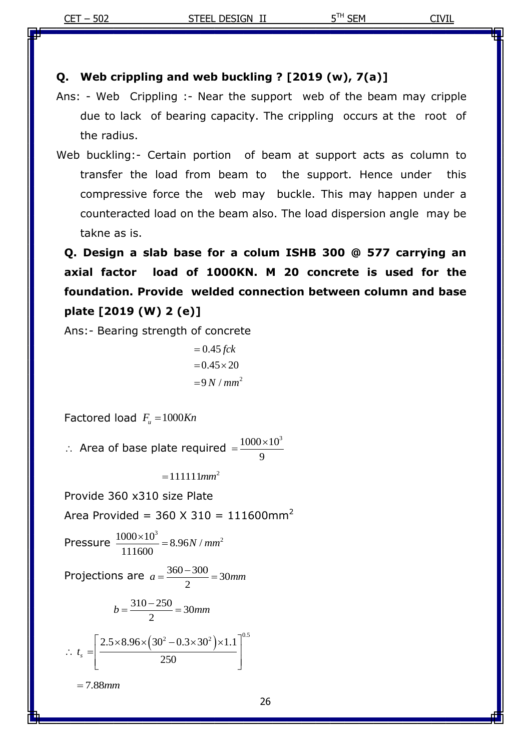#### **Q. Web crippling and web buckling ? [2019 (w), 7(a)]**

- Ans: Web Crippling :- Near the support web of the beam may cripple due to lack of bearing capacity. The crippling occurs at the root of the radius.
- Web buckling:- Certain portion of beam at support acts as column to transfer the load from beam to the support. Hence under this compressive force the web may buckle. This may happen under a counteracted load on the beam also. The load dispersion angle may be takne as is.

**Q. Design a slab base for a colum ISHB 300 @ 577 carrying an axial factor load of 1000KN. M 20 concrete is used for the foundation. Provide welded connection between column and base plate [2019 (W) 2 (e)]**

Ans:- Bearing strength of concrete

 $= 9 N / mm^2$ 0.45 *fck*  $= 0.45 \times 20$ 

Factored load  $F_u = 1000Kn$ 

 $\therefore$  Area of base plate required  $1000 \times 10^{3}$ 9  $=\frac{1000\times}{2}$ 

 $=111111$ *mm*<sup>2</sup>

Provide 360 x310 size Plate

Area Provided =  $360 \times 310 = 111600$ mm<sup>2</sup>

$$
Pressure \frac{1000 \times 10^3}{111600} = 8.96N / mm^2
$$

Projections are  $a = \frac{360 - 300}{2} = 30$  $a = \frac{360 - 300}{2} = 30$ mm

$$
b = \frac{310 - 250}{2} = 30 \text{mm}
$$

$$
\therefore t_s = \left[ \frac{2.5 \times 8.96 \times (30^2 - 0.3 \times 30^2) \times 1.1}{250} \right]^{0.5}
$$

7.88*mm*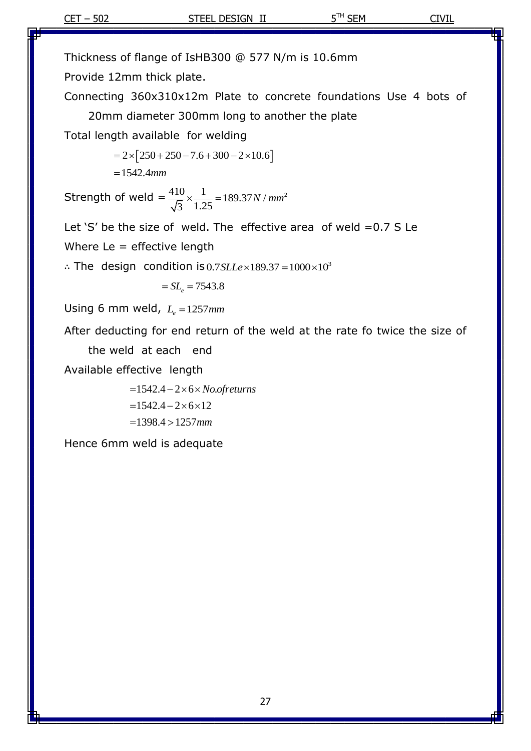Thickness of flange of IsHB300 @ 577 N/m is 10.6mm

Provide 12mm thick plate.

Connecting 360x310x12m Plate to concrete foundations Use 4 bots of 20mm diameter 300mm long to another the plate

Total length available for welding

 $= 2 \times [250 + 250 - 7.6 + 300 - 2 \times 10.6]$ 1542.4*mm*

Strength of weld  $=$   $\frac{410}{\sqrt{3}} \times \frac{1}{1.25} = 189.37 N / mm^2$ 

Let 'S' be the size of weld. The effective area of weld  $=0.7$  S Le

Where  $Le =$  effective length

 $\therefore$  The design condition is 0.7 SLLe × 189.37 = 1000 × 10<sup>3</sup>  $0.7$ *SLLe* × 189.37 =  $1000 \times 10^3$ 

 $SL<sub>e</sub> = 7543.8$ 

Using 6 mm weld,  $L_e = 1257$ mm

After deducting for end return of the weld at the rate fo twice the size of

the weld at each end

Available effective length

1542.4 2 6 . *No ofreturns*  $= 1542.4 - 2 \times 6 \times 12$  $-1398.4 > 1257$  mm

Hence 6mm weld is adequate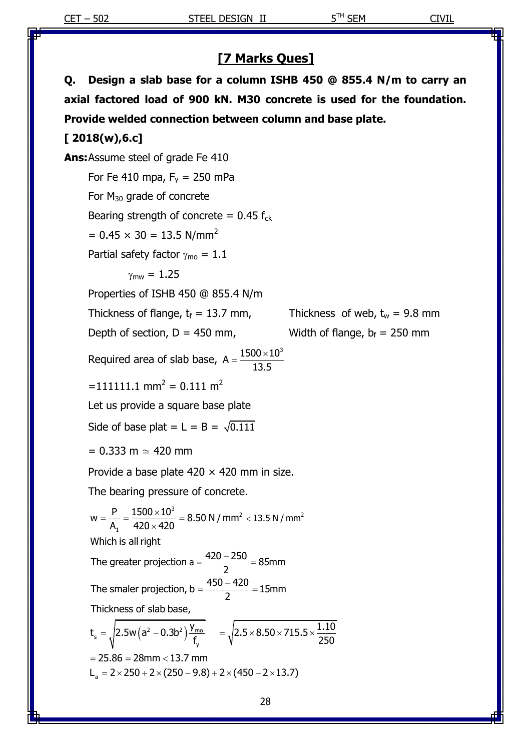## **[7 Marks Ques]**

**Q. Design a slab base for a column ISHB 450 @ 855.4 N/m to carry an axial factored load of 900 kN. M30 concrete is used for the foundation. Provide welded connection between column and base plate.**

#### **[ 2018(w),6.c]**

**Ans:**Assume steel of grade Fe 410

For Fe 410 mpa,  $F_v = 250$  mPa

For  $M_{30}$  grade of concrete

Bearing strength of concrete =  $0.45 f_{ck}$ 

 $= 0.45 \times 30 = 13.5$  N/mm<sup>2</sup>

Partial safety factor  $\gamma_{\text{mo}} = 1.1$ 

$$
\gamma_{\text{mw}}=1.25
$$

Properties of ISHB 450 @ 855.4 N/m

Thickness of flange,  $t_f = 13.7$  mm, Thickness of web,  $t_w = 9.8$  mm

Depth of section,  $D = 450$  mm, Width of flange,  $b_f = 250$  mm

Required area of slab base,  $A = \frac{1500 \times 10^3}{10.55}$ 13.5  $=\frac{1500\times}{120}$ 

 $=111111.1$  mm<sup>2</sup> = 0.111 m<sup>2</sup>

Let us provide a square base plate

Side of base plat  $= L = B = \sqrt{0.111}$ 

 $= 0.333$  m  $\simeq 420$  mm

Provide a base plate  $420 \times 420$  mm in size.

The bearing pressure of concrete.

 $\sigma_s = \sqrt{2.5w(a^2 - 0.3b^2)\frac{y_{\text{mo}}}{\epsilon}}$ 3  $2 < 13.5$  N / mm<sup>2</sup> The bearing pressure of concrete.<br>  $w = \frac{P}{A_1} = \frac{1500 \times 10^3}{420 \times 420} = 8.50 \text{ N/mm}^2 < 13.5 \text{ N/mm}$ Thickness of slab base,<br>  $t_s = \sqrt{2.5w(a^2 - 0.3b^2)\frac{y_{\text{mo}}}{f_y}}}$  =  $\sqrt{2.5 \times 8.50 \times 715.5 \times \frac{1.10}{250}}$ Which is all right<br>The greater projection a =  $\frac{420-250}{2}$  = 85mm  $\frac{P}{A_1} = \frac{1500 \times 10^3}{420 \times 420}$  $w = \frac{P}{A_1} = \frac{1500 \times 10^3}{420 \times 420} = 8.50 \text{ N / mm}^2 <$ <br>Which is all right The greater projection a =  $\frac{420 - 250}{2}$  = 85mm<br>The smaler projection, b =  $\frac{450 - 420}{2}$  = 15mm 2 The smaler projection, b =  $\frac{450}{2}$ <br>Thickness of slab base,  $\sqrt{\frac{r_{\text{mo}}}{f_y}}$  =  $\sqrt{2.5 \times 8.50 \times 715.5 \times \frac{1.10}{250}}$  $=$   $\sqrt{2.5}$ w $(a^2 -$ <br>25.86 = 28mm e bearing pressure or cor<br>=  $\frac{P}{A_1} = \frac{1500 \times 10^3}{420 \times 420} = 8.50 N$  $=\frac{2}{2}$  = 85mm<br>=  $\frac{450 - 420}{2}$  = 15mm ickness of slab base,<br>=  $\sqrt{2.5w(a^2 - 0.3b^2)\frac{y_{\text{mo}}}{f}}$  =  $\sqrt{2.5 \times 8.50 \times 715.5 \times \frac{1.10}{250}}$  $t_s = \sqrt{2.5}$ w $(a^2 - 0.3b^2) \frac{7 \text{ m o}}{f_y}$ <br>= 25.86 = 28mm < 13.7 mm  $V = 25.86 = 28$ mm < 13.7 mm<br>
L<sub>a</sub> = 2 × 250 + 2 × (250 – 9.8) + 2 × (450 – 2 × 13.7)  $= 25.86 = 28$ mm < 13.7 mm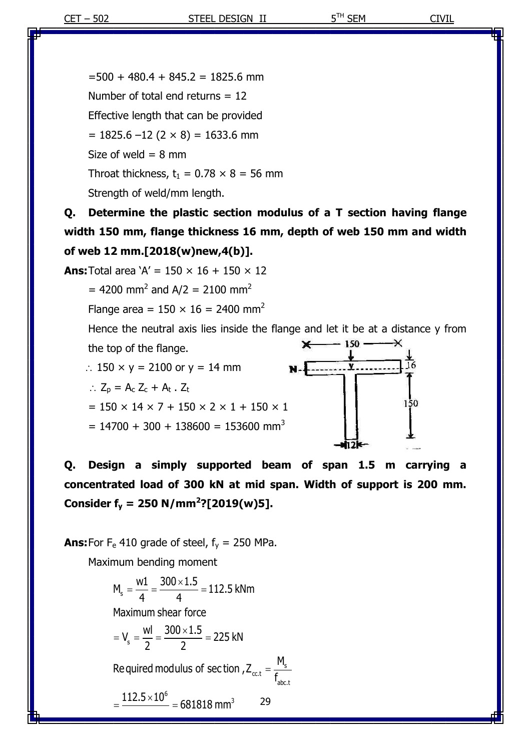$=500 + 480.4 + 845.2 = 1825.6$  mm Number of total end returns = 12 Effective length that can be provided  $= 1825.6 - 12 (2 \times 8) = 1633.6$  mm Size of weld  $= 8$  mm Throat thickness,  $t_1 = 0.78 \times 8 = 56$  mm Strength of weld/mm length.

**Q. Determine the plastic section modulus of a T section having flange width 150 mm, flange thickness 16 mm, depth of web 150 mm and width of web 12 mm.[2018(w)new,4(b)].**

**Ans:** Total area  $A' = 150 \times 16 + 150 \times 12$ 

= 4200 mm<sup>2</sup> and A/2 = 2100 mm<sup>2</sup>

Flange area =  $150 \times 16 = 2400$  mm<sup>2</sup>

Hence the neutral axis lies inside the flange and let it be at a distance y from  $-150$ the top of the flange.

∴ 150  $\times$  y = 2100 or y = 14 mm

$$
\therefore Z_p = A_c Z_c + A_t . Z_t
$$

$$
= 150 \times 14 \times 7 + 150 \times 2 \times 1 + 150 \times 1
$$

 $= 14700 + 300 + 138600 = 153600$  mm<sup>3</sup>



**Q. Design a simply supported beam of span 1.5 m carrying a concentrated load of 300 kN at mid span. Width of support is 200 mm. Consider f<sup>y</sup> = 250 N/mm<sup>2</sup> ?[2019(w)5].**

**Ans:**For  $F_e$  410 grade of steel,  $f_v$  = 250 MPa.

Maximum bending moment

L

$$
M_s = \frac{w1}{4} = \frac{300 \times 1.5}{4} = 112.5 \text{ kNm}
$$
  
Maximum shear force  
=  $V_s = \frac{wl}{2} = \frac{300 \times 1.5}{2} = 225 \text{ kN}$   
Required modulus of section,  $Z_{\text{cct}} = \frac{M_s}{f_{\text{abc,t}}}$   
=  $\frac{112.5 \times 10^6}{2} = 681818 \text{ mm}^3$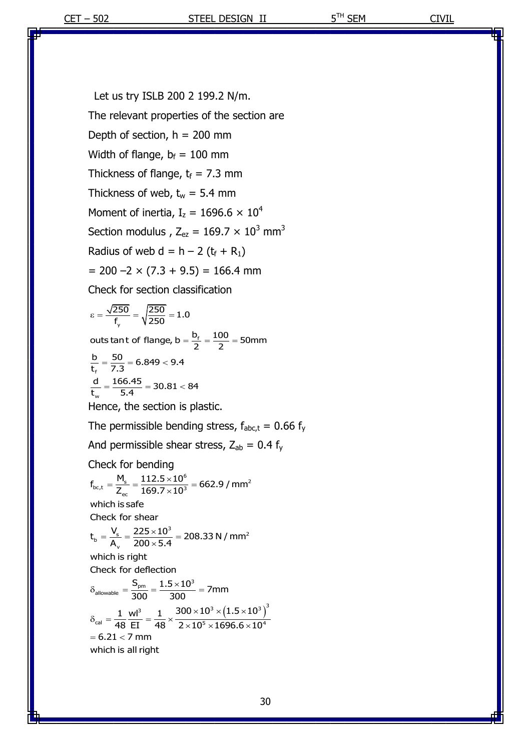Let us try ISLB 200 2 199.2 N/m. The relevant properties of the section are Depth of section,  $h = 200$  mm Width of flange,  $b_f = 100$  mm Thickness of flange,  $t_f$  = 7.3 mm Thickness of web,  $t_w = 5.4$  mm Moment of inertia,  $I_z = 1696.6 \times 10^4$ Section modulus,  $Z_{ez} = 169.7 \times 10^3$  mm<sup>3</sup> Radius of web  $d = h - 2 (t_f + R_1)$  $= 200 -2 \times (7.3 + 9.5) = 166.4$  mm Check for section classification Hence, the section is plastic. The permissible bending stress,  $f_{abc,t} = 0.66 f_y$ And permissible shear stress,  $Z_{ab} = 0.4$  f<sub>y</sub> Check for bending y T<sub>y</sub>  $y \ge 50$ <br>outs tant of flange, b =  $\frac{b_f}{2} = \frac{100}{2} = 50$ mm outs tan t of flange, b =<br>  $\frac{b}{t_{\text{f}}} = \frac{50}{7.3} = 6.849 < 9.4$  $\frac{d}{t_{\text{r}}} = \frac{166.45}{5.4} = 30.81 < 84$  $\frac{250}{250} = \sqrt{\frac{250}{250}} = 1.0$  $\varepsilon = \frac{\sqrt{250}}{f_y} = \sqrt{\frac{250}{250}} = 1.0$ Check for bending<br> $f_{bc,t} = \frac{M_s}{Z_{ec}} = \frac{112.5 \times 10^6}{169.7 \times 10^3} = 662.9 / mm^2$  $\times$ CK for bending<br>=  $\frac{M_s}{Z_{er}} = \frac{112.5 \times 10^6}{169.7 \times 10^3} = 662.9$ 

Check for shear<br>  $t_b = \frac{V_s}{A_v} = \frac{225 \times 10^3}{200 \times 5.4} = 208.33$  N / mm<sup>2</sup>  $n_{bc,t} = \frac{1}{Z_{ec}} = \frac{1}{1}$ <br>which is safe which is safe<br>Check for shear  $\mathsf{L}_{\mathsf{b}} = \overline{\mathsf{A}_{\mathsf{v}}} = \overline{200}$ <br>which is right  $\times$ eck for snear<br>=  $\frac{V_s}{A_v} = \frac{225 \times 10^3}{200 \times 5.4} = 208.5$ 

which is right<br>Check for deflection

Check for deflection  
\n
$$
\delta_{\text{allowable}} = \frac{S_{\text{pm}}}{300} = \frac{1.5 \times 10^3}{300} = 7 \text{mm}
$$
\n
$$
\delta_{\text{cal}} = \frac{1}{48} \frac{\text{wl}^3}{\text{EI}} = \frac{1}{48} \times \frac{300 \times 10^3 \times (1.5 \times 10^3)}{2 \times 10^5 \times 1696.6 \times 10^4}
$$
\n= 6.21 < 7 mm  
\nwhich is all right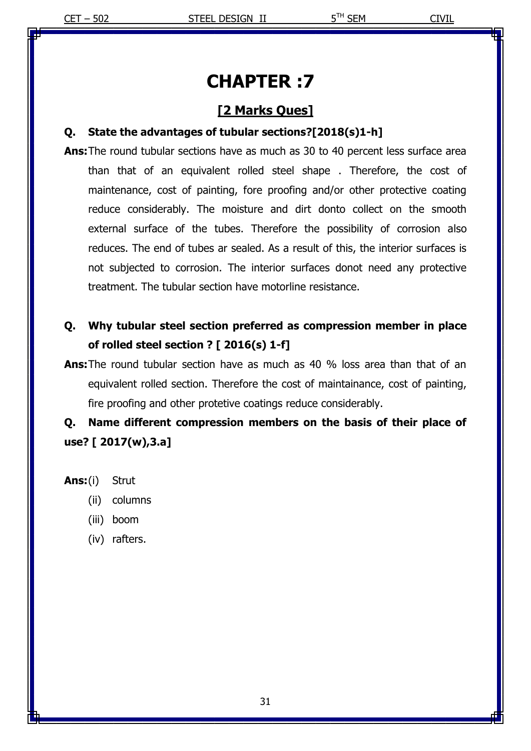# **CHAPTER :7**

## **[2 Marks Ques]**

#### **Q. State the advantages of tubular sections?[2018(s)1-h]**

**Ans:**The round tubular sections have as much as 30 to 40 percent less surface area than that of an equivalent rolled steel shape . Therefore, the cost of maintenance, cost of painting, fore proofing and/or other protective coating reduce considerably. The moisture and dirt donto collect on the smooth external surface of the tubes. Therefore the possibility of corrosion also reduces. The end of tubes ar sealed. As a result of this, the interior surfaces is not subjected to corrosion. The interior surfaces donot need any protective treatment. The tubular section have motorline resistance.

# **Q. Why tubular steel section preferred as compression member in place of rolled steel section ? [ 2016(s) 1-f]**

**Ans:**The round tubular section have as much as 40 % loss area than that of an equivalent rolled section. Therefore the cost of maintainance, cost of painting, fire proofing and other protetive coatings reduce considerably.

**Q. Name different compression members on the basis of their place of use? [ 2017(w),3.a]**

**Ans:**(i) Strut

- (ii) columns
- (iii) boom
- (iv) rafters.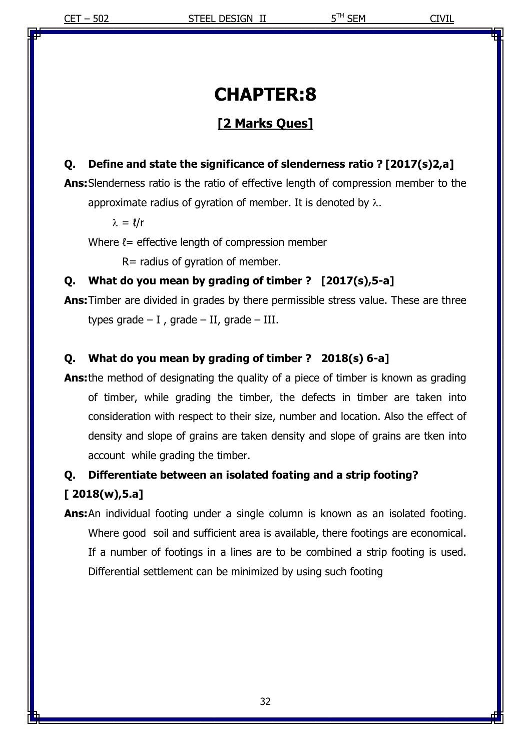# **CHAPTER:8**

# **[2 Marks Ques]**

## **Q. Define and state the significance of slenderness ratio ? [2017(s)2,a]**

**Ans:**Slenderness ratio is the ratio of effective length of compression member to the approximate radius of gyration of member. It is denoted by  $\lambda$ .

 $\lambda = l/r$ 

Where  $l =$  effective length of compression member

R= radius of gyration of member.

#### **Q. What do you mean by grading of timber ? [2017(s),5-a]**

**Ans:**Timber are divided in grades by there permissible stress value. These are three types grade  $- I$ , grade  $- II$ , grade  $- III$ .

#### **Q. What do you mean by grading of timber ? 2018(s) 6-a]**

**Ans:**the method of designating the quality of a piece of timber is known as grading of timber, while grading the timber, the defects in timber are taken into consideration with respect to their size, number and location. Also the effect of density and slope of grains are taken density and slope of grains are tken into account while grading the timber.

# **Q. Differentiate between an isolated foating and a strip footing? [ 2018(w),5.a]**

**Ans:**An individual footing under a single column is known as an isolated footing. Where good soil and sufficient area is available, there footings are economical. If a number of footings in a lines are to be combined a strip footing is used. Differential settlement can be minimized by using such footing

32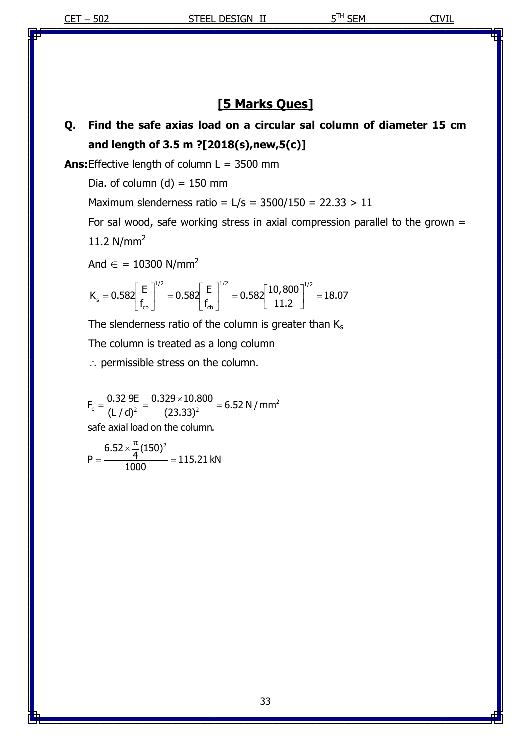# **[5 Marks Ques]**

# **Q. Find the safe axias load on a circular sal column of diameter 15 cm and length of 3.5 m ?[2018(s),new,5(c)]**

**Ans:**Effective length of column L = 3500 mm

Dia. of column  $(d) = 150$  mm

Maximum slenderness ratio =  $L/s = 3500/150 = 22.33 > 11$ 

For sal wood, safe working stress in axial compression parallel to the grown  $=$ 11.2  $N/mm^2$ 

And  $\epsilon$  = 10300 N/mm<sup>2</sup>

And 
$$
\epsilon = 10300 \text{ N/mm}^2
$$
  
\n
$$
K_s = 0.582 \left[ \frac{\text{E}}{\text{f}_{cb}} \right]^{1/2} = 0.582 \left[ \frac{\text{E}}{\text{f}_{cb}} \right]^{1/2} = 0.582 \left[ \frac{10,800}{11.2} \right]^{1/2} = 18.07
$$

The slenderness ratio of the column is greater than  $K_s$ 

The column is treated as a long column

 $\therefore$  permissible stress on the column.

 $F_c = \frac{0.32 \text{ } 9E}{(1/d)^2} = \frac{0.329 \times 10.800}{(23.33)^2} = 6.52 \text{ N / mm}^2$  $\frac{0.32 \text{ } 9E}{(L/d)^2} = \frac{0.329 \times 100}{(23.33)}$  $\frac{1}{c} - \frac{1}{(L/d)^2} - \frac{1}{(23.33)^2}$ <br>safe axial load on the column. safe axial load on the column.  $\times$  $=\frac{0.32 \text{ } 9E}{(1.7 \text{ d})^2} = \frac{0.329 \times 10.800}{(23.33)^2} = 6.52$ 

$$
P = \frac{6.52 \times \frac{\pi}{4} (150)^2}{1000} = 115.21 \text{ kN}
$$

33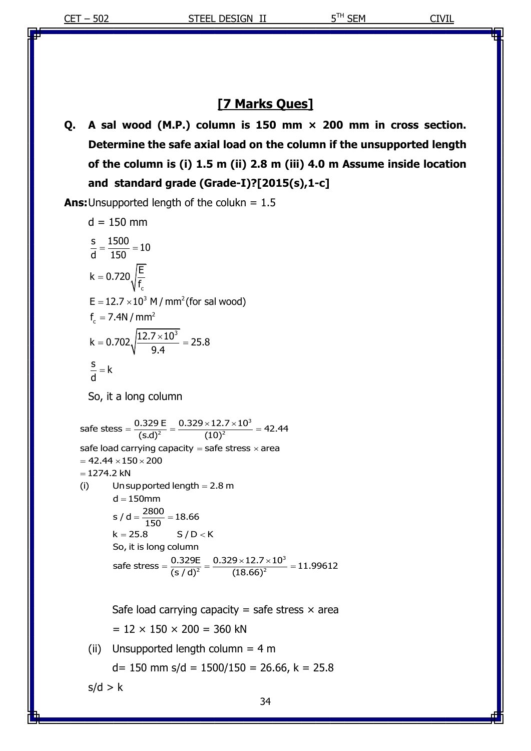## **[7 Marks Ques]**

**Q. A sal wood (M.P.) column is 150 mm × 200 mm in cross section. Determine the safe axial load on the column if the unsupported length of the column is (i) 1.5 m (ii) 2.8 m (iii) 4.0 m Assume inside location and standard grade (Grade-I)?[2015(s),1-c]**

**Ans:**Unsupported length of the colukn = 1.5

d = 150 mm  
\n
$$
\frac{s}{d} = \frac{1500}{150} = 10
$$
\nk = 0.720 $\sqrt{\frac{E}{f_c}}$   
\nE = 12.7 × 10<sup>3</sup> M/mm<sup>2</sup> (for sal wood)  
\nf<sub>c</sub> = 7.4N/mm<sup>2</sup>  
\nk = 0.702 $\sqrt{\frac{12.7 \times 10^3}{9.4}} = 25.8$   
\n $\frac{s}{d} = k$   
\nSo, it a long column  
\nsafe stess =  $\frac{0.329 E}{(s.d)^2} = \frac{0.329 \times 12.7 \times 10^3}{(10)^2} = 42.44$   
\nsafe load carrying capacity = safe stress × area  
\n= 42.44 × 150 × 200  
\n= 1274.2 kN  
\n(i) Unsupported length = 2.8 m  
\nd = 150 mm  
\ns / d =  $\frac{2800}{150} = 18.66$   
\nk = 25.8 S / D < K  
\nSo, it is long column  
\nsafe stress =  $\frac{0.329 E}{(s/d)^2} = \frac{0.329 \times 12.7 \times 10^3}{(18.66)^2} = 11.99612$ 

Safe load carrying capacity = safe stress  $\times$  area  $= 12 \times 150 \times 200 = 360$  kN

(ii) Unsupported length column =  $4 m$  $d= 150$  mm s/d = 1500/150 = 26.66, k = 25.8

 $s/d > k$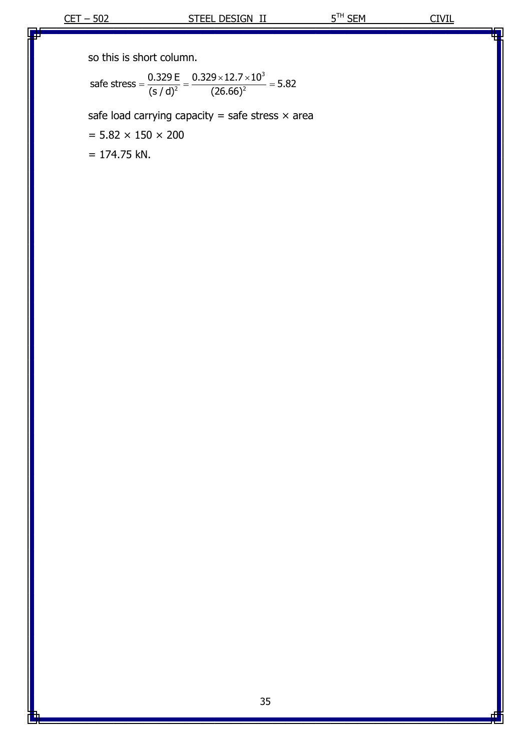so this is short column.  
\n
$$
\text{safe stress} = \frac{0.329 \text{ E}}{(s/d)^2} = \frac{0.329 \times 12.7 \times 10^3}{(26.66)^2} = 5.82
$$

safe load carrying capacity = safe stress  $\times$  area

 $= 5.82 \times 150 \times 200$ 

 $= 174.75$  kN.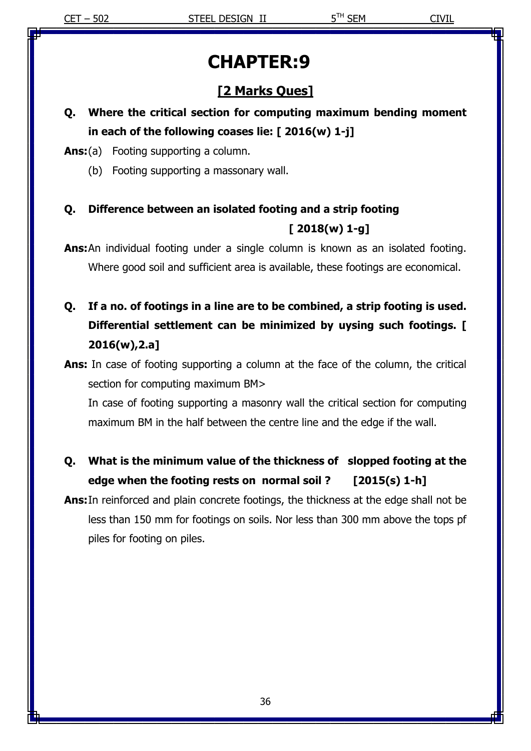# **CHAPTER:9**

# **[2 Marks Ques]**

# **Q. Where the critical section for computing maximum bending moment in each of the following coases lie: [ 2016(w) 1-j]**

**Ans:**(a) Footing supporting a column.

(b) Footing supporting a massonary wall.

# **Q. Difference between an isolated footing and a strip footing [ 2018(w) 1-g]**

**Ans:**An individual footing under a single column is known as an isolated footing. Where good soil and sufficient area is available, these footings are economical.

- **Q. If a no. of footings in a line are to be combined, a strip footing is used. Differential settlement can be minimized by uysing such footings. [ 2016(w),2.a]**
- **Ans:** In case of footing supporting a column at the face of the column, the critical section for computing maximum BM>

In case of footing supporting a masonry wall the critical section for computing maximum BM in the half between the centre line and the edge if the wall.

**Q. What is the minimum value of the thickness of slopped footing at the edge when the footing rests on normal soil ? [2015(s) 1-h]**

**Ans:**In reinforced and plain concrete footings, the thickness at the edge shall not be less than 150 mm for footings on soils. Nor less than 300 mm above the tops pf piles for footing on piles.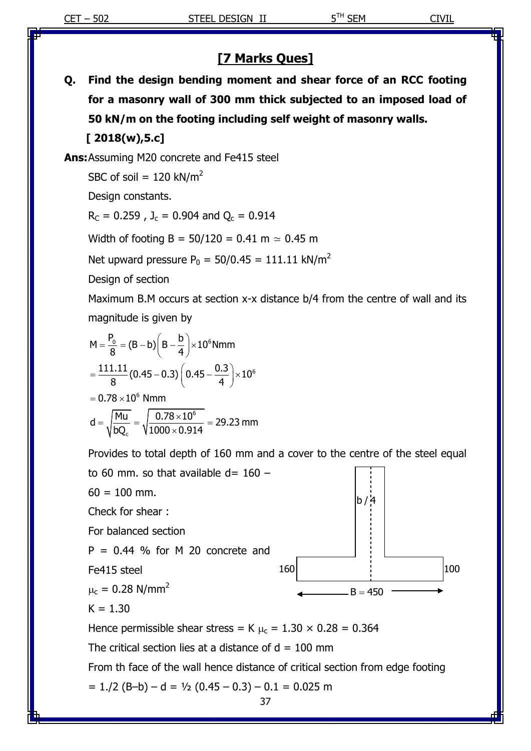# **[7 Marks Ques]**

**Q. Find the design bending moment and shear force of an RCC footing for a masonry wall of 300 mm thick subjected to an imposed load of 50 kN/m on the footing including self weight of masonry walls.**

 **[ 2018(w),5.c]**

**Ans:**Assuming M20 concrete and Fe415 steel

SBC of soil =  $120$  kN/m<sup>2</sup>

Design constants.

 $R_C = 0.259$ ,  $J_c = 0.904$  and  $Q_c = 0.914$ 

Width of footing B =  $50/120 = 0.41$  m  $\simeq$  0.45 m

Net upward pressure  $P_0 = 50/0.45 = 111.11$  kN/m<sup>2</sup>

Design of section

Maximum B.M occurs at section x-x distance b/4 from the centre of wall and its magnitude is given by

$$
M = \frac{P_0}{8} = (B - b) \left( B - \frac{b}{4} \right) \times 10^6 \text{ Nmm}
$$
  
=  $\frac{111.11}{8} (0.45 - 0.3) \left( 0.45 - \frac{0.3}{4} \right) \times 10^6$   
= 0.78 × 10<sup>6</sup> Nmm

8  
\n= 0.78 × 10<sup>6</sup> Nmm  
\nd = 
$$
\sqrt{\frac{M u}{bQ_c}} = \sqrt{\frac{0.78 \times 10^6}{1000 \times 0.914}} = 29.23
$$
 mm

Provides to total depth of 160 mm and a cover to the centre of the steel equal

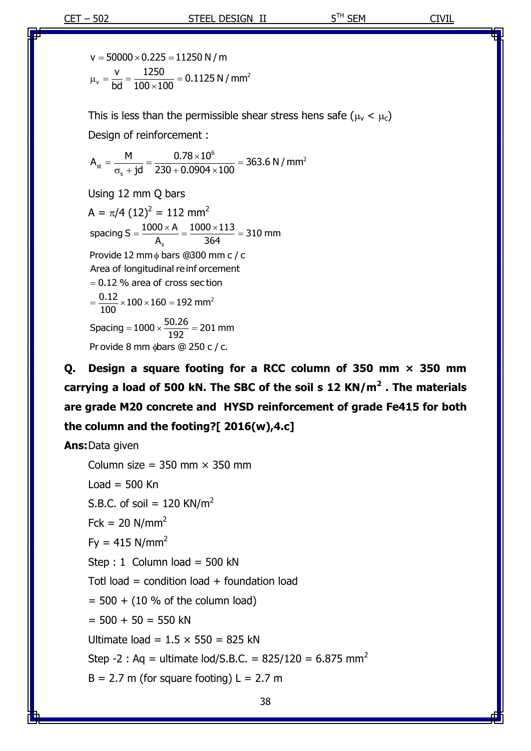2 = 50000 × 0.225 = 11250 N / m<br> $v = \frac{v}{bd} = \frac{1250}{100 \times 100} = 0.1125$  N / mm v = 50000  $\times$  0.225 = 11250 N / m  $\frac{v}{bd} = \frac{1250}{100 \times 100}$  $\mu_v = \frac{v}{bd} = \frac{1250}{100 \times 100} = 0.11$ 

This is less than the permissible shear stress hens safe ( $\mu_{\rm v}$  <  $\mu_{\rm c}$ )

Design of reinforcement :  
\n
$$
A_{st} = \frac{M}{\sigma_s + jd} = \frac{0.78 \times 10^6}{230 + 0.0904 \times 100} = 363.6 N/mm^2
$$

Using 12 mm Q bars

 $A = \pi/4$  (12)<sup>2</sup> = 112 mm<sup>2</sup> A =  $\pi/4$  (12)<sup>2</sup> = 112 mm<sup>2</sup><br>spacing S =  $\frac{1000 \times A}{A_s}$  =  $\frac{1000 \times 113}{364}$  = 310 mm 2  $\frac{300 \times A}{A_s} = \frac{1000 \times 1000}{364}$ spacing  $3 - \frac{A_s}{A_s} - \frac{364}{364}$ Provide 12 mm $\stackrel{1}{\phi}$  bars @300 mm c /<br>Area of longitudinal reinf orcement Area of longitudinal reinf orcement = 0.12 % area of cross sec ti $= \frac{0.12}{100} \times 100 \times 160 = 192$  mm 100<br>Spacing = 1000 ×  $\frac{50.26}{192}$  = 201 mm<br>Pr ovide 8 mm  $\phi$ bars @ 250 c / c.  $(12)^2 = 112$  mm<sup>2</sup><br>=  $\frac{1000 \times A}{\Delta} = \frac{1000 \times 113}{364} = 310$  r  $= 0.12$  % area of cross section  $=1000 \times \frac{50.26}{192} = 201 \text{ m}$ Provide 8 mm dbars @ 250 c / c.

**Q. Design a square footing for a RCC column of 350 mm × 350 mm carrying a load of 500 kN. The SBC of the soil s 12 KN/m<sup>2</sup> . The materials are grade M20 concrete and HYSD reinforcement of grade Fe415 for both the column and the footing?[ 2016(w),4.c]**

**Ans:**Data given

Column size =  $350$  mm  $\times$  350 mm Load =  $500$  Kn S.B.C. of soil =  $120$  KN/m<sup>2</sup>  $Fck = 20$  N/mm<sup>2</sup>  $Fv = 415$  N/mm<sup>2</sup> Step : 1 Column load =  $500$  kN Totl load = condition load + foundation load  $= 500 + (10 % of the column load)$  $= 500 + 50 = 550$  kN Ultimate load =  $1.5 \times 550 = 825$  kN Step -2 : Ag = ultimate lod/S.B.C. =  $825/120 = 6.875$  mm<sup>2</sup>  $B = 2.7$  m (for square footing)  $L = 2.7$  m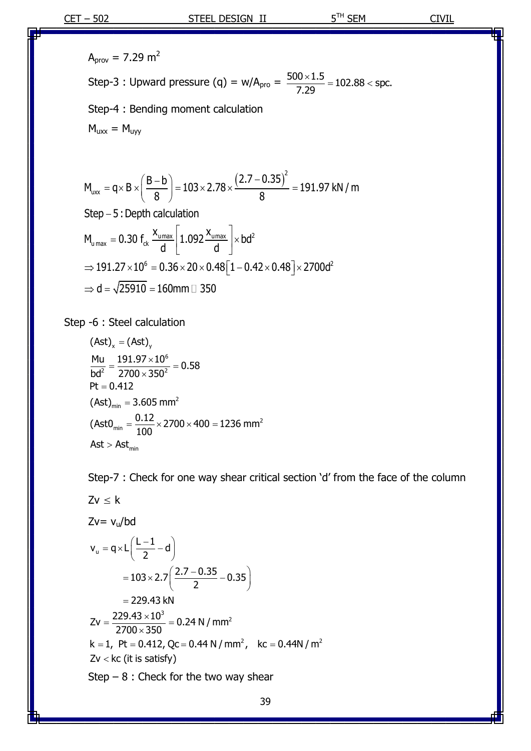$A_{\text{prov}} = 7.29 \text{ m}^2$ Step-3 : Upward pressure (q) =  $w/A_{\text{pro}} = \frac{500 \times 1.5}{7.29} = 102.88 < \text{spc}.$  $\frac{\times 1.5}{20}$  = 102.88 < sp Step-4 : Bending moment calculation  $M_{uxx} = M_{uyy}$ 

$$
M_{\text{uxx}} = q \times B \times \left(\frac{B-b}{8}\right) = 103 \times 2.78 \times \frac{(2.7 - 0.35)^{2}}{8} = 191.97 \text{ kN/m}
$$
  
Step – 5 : Depth calculation

Step – 5 : Depth calculation  
\n
$$
M_{U_{max}} = 0.30 f_{ck} \frac{x_{U_{max}}}{d} \left[ 1.092 \frac{x_{U_{max}}}{d} \right] \times bd^2
$$
\n
$$
\Rightarrow 191.27 \times 10^6 = 0.36 \times 20 \times 0.48 \left[ 1 - 0.42 \times 0.48 \right] \times 2700d^2
$$
\n
$$
\Rightarrow d = \sqrt{25910} = 160 \text{mm} \quad \Box \quad 350
$$

Step -6 : Steel calculation<br>  $(Ast)_x = (Ast)_y$ 

(Ast)<sub>x</sub> = (Ast)<sub>y</sub>  
\n
$$
\frac{Mu}{bd^2} = \frac{191.97 \times 10^6}{2700 \times 350^2} = 0.58
$$
\nPt = 0.412  
\n(Ast)<sub>min</sub> = 3.605 mm<sup>2</sup>  
\n(Ast0<sub>min</sub> =  $\frac{0.12}{100} \times 2700 \times 400 = 1236$  mm<sup>2</sup>  
\nAst > Ast<sub>min</sub>

Step-7 : Check for one way shear critical section 'd' from the face of the column

$$
Zv \le k
$$
  
\n
$$
Zv = v_u/bd
$$
  
\n
$$
v_u = q \times L\left(\frac{L-1}{2} - d\right)
$$
  
\n
$$
= 103 \times 2.7\left(\frac{2.7 - 0.35}{2} - 0.35\right)
$$
  
\n
$$
= 229.43 kN
$$
  
\n
$$
Zv = \frac{229.43 \times 10^3}{2700 \times 350} = 0.24 N/mm^2
$$
  
\n
$$
k = 1, Pt = 0.412, Qc = 0.44 N/mm^2, kc = 0.44 N/m^2
$$
  
\n
$$
Zv < kc \text{ (it is satisfy)}
$$
  
\nStep – 8 : Check for the two way shear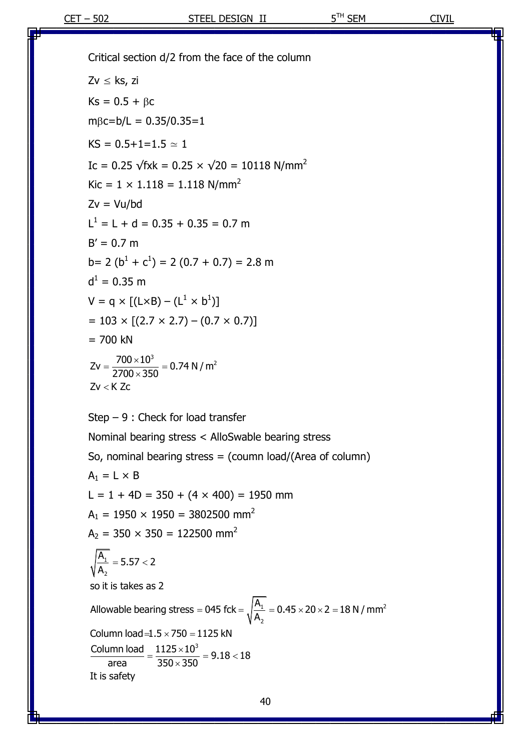Critical section d/2 from the face of the column  $Zv \leq ks$ , zi  $Ks = 0.5 + \beta c$  $m\beta$ c=b/L = 0.35/0.35=1  $KS = 0.5 + 1 = 1.5 \approx 1$ Ic =  $0.25 \sqrt{f}xk = 0.25 \times \sqrt{20} = 10118 \text{ N/mm}^2$  $Kic = 1 \times 1.118 = 1.118$  N/mm<sup>2</sup>  $Zv = Vu/bd$  $L^1 = L + d = 0.35 + 0.35 = 0.7$  m  $B' = 0.7$  m  $b= 2 (b<sup>1</sup> + c<sup>1</sup>) = 2 (0.7 + 0.7) = 2.8$  m  $d^1 = 0.35$  m  $V = q \times [(L \times B) - (L^1 \times b^1)]$  $= 103 \times [(2.7 \times 2.7) - (0.7 \times 0.7)]$  $= 700$  kN Step – 9 : Check for load transfer Nominal bearing stress < AlloSwable bearing stress  $Zv = \frac{700 \times 10^3}{2700 \times 350} = 0.74 \text{ N/m}^2$  $=\frac{700\times10^3}{2700\times350}=0.7$ zzu<br>Zv < K Z<mark>c</mark>

So, nominal bearing stress  $=$  (coumn load/(Area of column)  $A_1 = L \times B$  $L = 1 + 4D = 350 + (4 \times 400) = 1950$  mm  $A_1 = 1950 \times 1950 = 3802500$  mm<sup>2</sup>  $A_2 = 350 \times 350 = 122500$  mm<sup>2</sup> 1 2  $1 - 0.45 \times 20 \times 2 = 18 \text{ N} / \text{mm}^2$ 2 3 A  $\frac{A_1}{A_2}$  = 5.57 < 2  $\sqrt{\frac{A_1}{A_2}}$  = 5.57 < 2<br>so it is takes as 2 A so it is takes as 2<br>Allowable bearing stress = 045 fck =  $\sqrt{\frac{A_1}{A_2}}$  = 0.45 × 20 × 2 = 18 N / mm Allowable bearing stress = 045 fc<br>Column load =1.5  $\times$  750 = 1125 kN Column load =1.5 × 750 = 1125 kN<br>Column load =  $\frac{1125 \times 10^3}{350 \times 350}$  = 9.18 < 18 mm load = $1.5 \times 750 =$ <br>
area  $= \frac{1125 \times 10^3}{350 \times 350}$  $\frac{\text{Column load}}{\text{area}} = \frac{1125 \times}{350 \times 100}$ <br>It is safety  $350 \times 350 = 12$ <br>= 5.57 < 2 = 045 fck =  $\sqrt{\frac{A_1}{A_2}}$  = 0.45 × 20 × 2 = 18 N / mr aring stress = 045 fck<br>=1.5 × 750 = 1125 kN  $-1.5 \times 750 = 1125$  kN<br>=  $\frac{1125 \times 10^3}{350 \times 350} = 9.18 < 18$